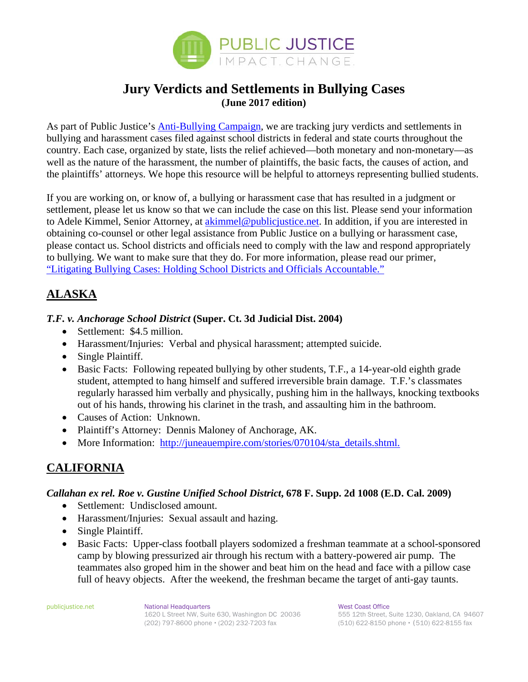

## **Jury Verdicts and Settlements in Bullying Cases (June 2017 edition)**

As part of Public Justice's Anti-Bullying Campaign, we are tracking jury verdicts and settlements in bullying and harassment cases filed against school districts in federal and state courts throughout the country. Each case, organized by state, lists the relief achieved—both monetary and non-monetary—as well as the nature of the harassment, the number of plaintiffs, the basic facts, the causes of action, and the plaintiffs' attorneys. We hope this resource will be helpful to attorneys representing bullied students.

If you are working on, or know of, a bullying or harassment case that has resulted in a judgment or settlement, please let us know so that we can include the case on this list. Please send your information to Adele Kimmel, Senior Attorney, at akimmel@publicjustice.net. In addition, if you are interested in obtaining co-counsel or other legal assistance from Public Justice on a bullying or harassment case, please contact us. School districts and officials need to comply with the law and respond appropriately to bullying. We want to make sure that they do. For more information, please read our primer, "Litigating Bullying Cases: Holding School Districts and Officials Accountable."

## **ALASKA**

#### *T.F. v. Anchorage School District* **(Super. Ct. 3d Judicial Dist. 2004)**

- Settlement: \$4.5 million.
- Harassment/Injuries: Verbal and physical harassment; attempted suicide.
- Single Plaintiff.
- Basic Facts: Following repeated bullying by other students, T.F., a 14-year-old eighth grade student, attempted to hang himself and suffered irreversible brain damage. T.F.'s classmates regularly harassed him verbally and physically, pushing him in the hallways, knocking textbooks out of his hands, throwing his clarinet in the trash, and assaulting him in the bathroom.
- Causes of Action: Unknown.
- Plaintiff's Attorney: Dennis Maloney of Anchorage, AK.
- More Information: http://juneauempire.com/stories/070104/sta\_details.shtml.

## **CALIFORNIA**

#### *Callahan ex rel. Roe v. Gustine Unified School District***, 678 F. Supp. 2d 1008 (E.D. Cal. 2009)**

- Settlement: Undisclosed amount.
- Harassment/Injuries: Sexual assault and hazing.
- Single Plaintiff.
- Basic Facts: Upper-class football players sodomized a freshman teammate at a school-sponsored camp by blowing pressurized air through his rectum with a battery-powered air pump. The teammates also groped him in the shower and beat him on the head and face with a pillow case full of heavy objects. After the weekend, the freshman became the target of anti-gay taunts.

publicjustice.net **National Headquarters National Headquarters** West Coast Office<br>1620 L Street NW. Suite 630. Washington DC 20036 555 12th Street. Suite 1230. Oakland. CA 94607 1620 L Street NW, Suite 630, Washington DC 20036 (202) 797-8600 phone **·** (202) 232-7203 fax (510) 622-8150 phone **·** (510) 622-8155 fax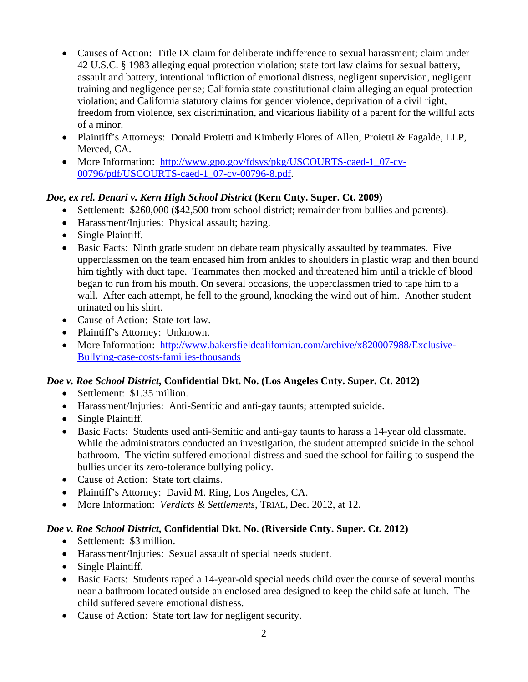- Causes of Action: Title IX claim for deliberate indifference to sexual harassment; claim under 42 U.S.C. § 1983 alleging equal protection violation; state tort law claims for sexual battery, assault and battery, intentional infliction of emotional distress, negligent supervision, negligent training and negligence per se; California state constitutional claim alleging an equal protection violation; and California statutory claims for gender violence, deprivation of a civil right, freedom from violence, sex discrimination, and vicarious liability of a parent for the willful acts of a minor.
- Plaintiff's Attorneys: Donald Proietti and Kimberly Flores of Allen, Proietti & Fagalde, LLP, Merced, CA.
- More Information: http://www.gpo.gov/fdsys/pkg/USCOURTS-caed-1\_07-cv-00796/pdf/USCOURTS-caed-1\_07-cv-00796-8.pdf.

## *Doe, ex rel. Denari v. Kern High School District* **(Kern Cnty. Super. Ct. 2009)**

- Settlement: \$260,000 (\$42,500 from school district; remainder from bullies and parents).
- Harassment/Injuries: Physical assault; hazing.
- Single Plaintiff.
- Basic Facts: Ninth grade student on debate team physically assaulted by teammates. Five upperclassmen on the team encased him from ankles to shoulders in plastic wrap and then bound him tightly with duct tape. Teammates then mocked and threatened him until a trickle of blood began to run from his mouth. On several occasions, the upperclassmen tried to tape him to a wall. After each attempt, he fell to the ground, knocking the wind out of him. Another student urinated on his shirt.
- Cause of Action: State tort law.
- Plaintiff's Attorney: Unknown.
- More Information: http://www.bakersfieldcalifornian.com/archive/x820007988/Exclusive-Bullying-case-costs-families-thousands

## *Doe v. Roe School District***, Confidential Dkt. No. (Los Angeles Cnty. Super. Ct. 2012)**

- Settlement: \$1.35 million.
- Harassment/Injuries: Anti-Semitic and anti-gay taunts; attempted suicide.
- Single Plaintiff.
- Basic Facts: Students used anti-Semitic and anti-gay taunts to harass a 14-year old classmate. While the administrators conducted an investigation, the student attempted suicide in the school bathroom. The victim suffered emotional distress and sued the school for failing to suspend the bullies under its zero-tolerance bullying policy.
- Cause of Action: State tort claims.
- Plaintiff's Attorney: David M. Ring, Los Angeles, CA.
- More Information: *Verdicts & Settlements*, TRIAL, Dec. 2012, at 12.

## *Doe v. Roe School District***, Confidential Dkt. No. (Riverside Cnty. Super. Ct. 2012)**

- Settlement: \$3 million.
- Harassment/Injuries: Sexual assault of special needs student.
- Single Plaintiff.
- Basic Facts: Students raped a 14-year-old special needs child over the course of several months near a bathroom located outside an enclosed area designed to keep the child safe at lunch. The child suffered severe emotional distress.
- Cause of Action: State tort law for negligent security.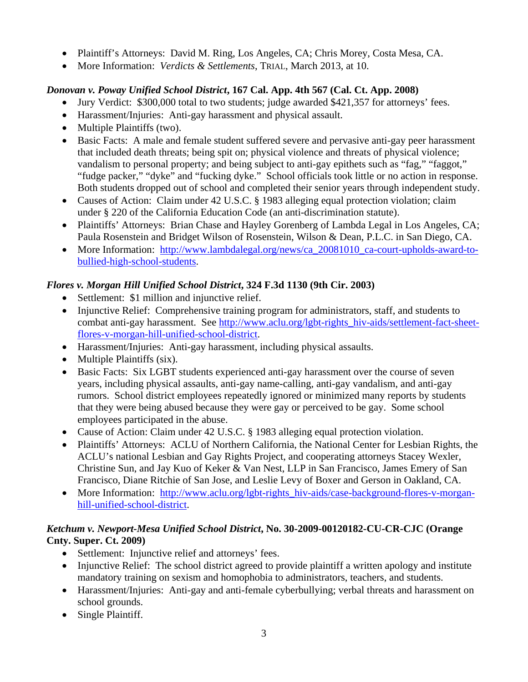- Plaintiff's Attorneys: David M. Ring, Los Angeles, CA; Chris Morey, Costa Mesa, CA.
- More Information: *Verdicts & Settlements*, TRIAL, March 2013, at 10.

## *Donovan v. Poway Unified School District***, 167 Cal. App. 4th 567 (Cal. Ct. App. 2008)**

- Jury Verdict: \$300,000 total to two students; judge awarded \$421,357 for attorneys' fees.
- Harassment/Injuries: Anti-gay harassment and physical assault.
- Multiple Plaintiffs (two).
- Basic Facts: A male and female student suffered severe and pervasive anti-gay peer harassment that included death threats; being spit on; physical violence and threats of physical violence; vandalism to personal property; and being subject to anti-gay epithets such as "fag," "faggot," "fudge packer," "dyke" and "fucking dyke." School officials took little or no action in response. Both students dropped out of school and completed their senior years through independent study.
- Causes of Action: Claim under 42 U.S.C. § 1983 alleging equal protection violation; claim under § 220 of the California Education Code (an anti-discrimination statute).
- Plaintiffs' Attorneys: Brian Chase and Hayley Gorenberg of Lambda Legal in Los Angeles, CA; Paula Rosenstein and Bridget Wilson of Rosenstein, Wilson & Dean, P.L.C. in San Diego, CA.
- More Information: http://www.lambdalegal.org/news/ca\_20081010\_ca-court-upholds-award-tobullied-high-school-students.

## *Flores v. Morgan Hill Unified School District***, 324 F.3d 1130 (9th Cir. 2003)**

- Settlement: \$1 million and injunctive relief.
- Injunctive Relief: Comprehensive training program for administrators, staff, and students to combat anti-gay harassment. See http://www.aclu.org/lgbt-rights\_hiv-aids/settlement-fact-sheetflores-v-morgan-hill-unified-school-district.
- Harassment/Injuries: Anti-gay harassment, including physical assaults.
- Multiple Plaintiffs (six).
- Basic Facts: Six LGBT students experienced anti-gay harassment over the course of seven years, including physical assaults, anti-gay name-calling, anti-gay vandalism, and anti-gay rumors. School district employees repeatedly ignored or minimized many reports by students that they were being abused because they were gay or perceived to be gay. Some school employees participated in the abuse.
- Cause of Action: Claim under 42 U.S.C. § 1983 alleging equal protection violation.
- Plaintiffs' Attorneys: ACLU of Northern California, the National Center for Lesbian Rights, the ACLU's national Lesbian and Gay Rights Project, and cooperating attorneys Stacey Wexler, Christine Sun, and Jay Kuo of Keker & Van Nest, LLP in San Francisco, James Emery of San Francisco, Diane Ritchie of San Jose, and Leslie Levy of Boxer and Gerson in Oakland, CA.
- More Information: http://www.aclu.org/lgbt-rights\_hiv-aids/case-background-flores-v-morganhill-unified-school-district.

## *Ketchum v. Newport-Mesa Unified School District***, No. 30-2009-00120182-CU-CR-CJC (Orange Cnty. Super. Ct. 2009)**

- Settlement: Injunctive relief and attorneys' fees.
- Injunctive Relief: The school district agreed to provide plaintiff a written apology and institute mandatory training on sexism and homophobia to administrators, teachers, and students.
- Harassment/Injuries: Anti-gay and anti-female cyberbullying; verbal threats and harassment on school grounds.
- Single Plaintiff.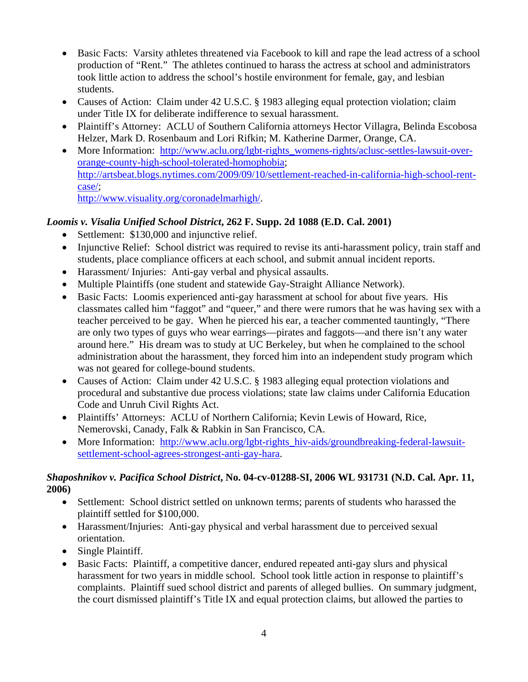- Basic Facts: Varsity athletes threatened via Facebook to kill and rape the lead actress of a school production of "Rent." The athletes continued to harass the actress at school and administrators took little action to address the school's hostile environment for female, gay, and lesbian students.
- Causes of Action: Claim under 42 U.S.C. § 1983 alleging equal protection violation; claim under Title IX for deliberate indifference to sexual harassment.
- Plaintiff's Attorney: ACLU of Southern California attorneys Hector Villagra, Belinda Escobosa Helzer, Mark D. Rosenbaum and Lori Rifkin; M. Katherine Darmer, Orange, CA.
- More Information: http://www.aclu.org/lgbt-rights\_womens-rights/aclusc-settles-lawsuit-overorange-county-high-school-tolerated-homophobia; http://artsbeat.blogs.nytimes.com/2009/09/10/settlement-reached-in-california-high-school-rentcase/; http://www.visuality.org/coronadelmarhigh/.

- *Loomis v. Visalia Unified School District***, 262 F. Supp. 2d 1088 (E.D. Cal. 2001)** 
	- Settlement: \$130,000 and injunctive relief.
	- Injunctive Relief: School district was required to revise its anti-harassment policy, train staff and students, place compliance officers at each school, and submit annual incident reports.
	- Harassment/ Injuries: Anti-gay verbal and physical assaults.
	- Multiple Plaintiffs (one student and statewide Gay-Straight Alliance Network).
	- Basic Facts: Loomis experienced anti-gay harassment at school for about five years. His classmates called him "faggot" and "queer," and there were rumors that he was having sex with a teacher perceived to be gay. When he pierced his ear, a teacher commented tauntingly, "There are only two types of guys who wear earrings—pirates and faggots—and there isn't any water around here." His dream was to study at UC Berkeley, but when he complained to the school administration about the harassment, they forced him into an independent study program which was not geared for college-bound students.
	- Causes of Action: Claim under 42 U.S.C. § 1983 alleging equal protection violations and procedural and substantive due process violations; state law claims under California Education Code and Unruh Civil Rights Act.
	- Plaintiffs' Attorneys: ACLU of Northern California; Kevin Lewis of Howard, Rice, Nemerovski, Canady, Falk & Rabkin in San Francisco, CA.
	- More Information: http://www.aclu.org/lgbt-rights hiv-aids/groundbreaking-federal-lawsuitsettlement-school-agrees-strongest-anti-gay-hara.

#### *Shaposhnikov v. Pacifica School District***, No. 04-cv-01288-SI, 2006 WL 931731 (N.D. Cal. Apr. 11, 2006)**

- Settlement: School district settled on unknown terms; parents of students who harassed the plaintiff settled for \$100,000.
- Harassment/Injuries: Anti-gay physical and verbal harassment due to perceived sexual orientation.
- Single Plaintiff.
- Basic Facts: Plaintiff, a competitive dancer, endured repeated anti-gay slurs and physical harassment for two years in middle school. School took little action in response to plaintiff's complaints. Plaintiff sued school district and parents of alleged bullies. On summary judgment, the court dismissed plaintiff's Title IX and equal protection claims, but allowed the parties to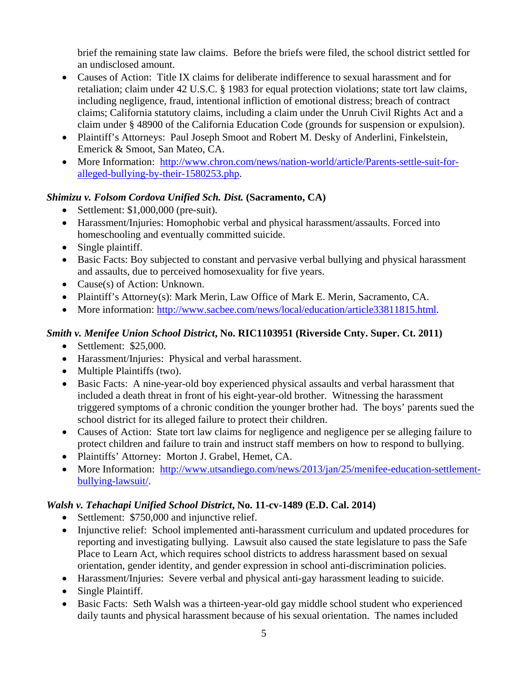brief the remaining state law claims. Before the briefs were filed, the school district settled for an undisclosed amount.

- Causes of Action: Title IX claims for deliberate indifference to sexual harassment and for retaliation; claim under 42 U.S.C. § 1983 for equal protection violations; state tort law claims, including negligence, fraud, intentional infliction of emotional distress; breach of contract claims; California statutory claims, including a claim under the Unruh Civil Rights Act and a claim under § 48900 of the California Education Code (grounds for suspension or expulsion).
- Plaintiff's Attorneys: Paul Joseph Smoot and Robert M. Desky of Anderlini, Finkelstein, Emerick & Smoot, San Mateo, CA.
- More Information: http://www.chron.com/news/nation-world/article/Parents-settle-suit-foralleged-bullying-by-their-1580253.php.

#### *Shimizu v. Folsom Cordova Unified Sch. Dist.* **(Sacramento, CA)**

- Settlement:  $$1,000,000$  (pre-suit).
- Harassment/Injuries: Homophobic verbal and physical harassment/assaults. Forced into homeschooling and eventually committed suicide.
- Single plaintiff.
- Basic Facts: Boy subjected to constant and pervasive verbal bullying and physical harassment and assaults, due to perceived homosexuality for five years.
- Cause(s) of Action: Unknown.
- Plaintiff's Attorney(s): Mark Merin, Law Office of Mark E. Merin, Sacramento, CA.
- More information: http://www.sacbee.com/news/local/education/article33811815.html.

#### *Smith v. Menifee Union School District***, No. RIC1103951 (Riverside Cnty. Super. Ct. 2011)**

- Settlement: \$25,000.
- Harassment/Injuries: Physical and verbal harassment.
- Multiple Plaintiffs (two).
- Basic Facts: A nine-year-old boy experienced physical assaults and verbal harassment that included a death threat in front of his eight-year-old brother. Witnessing the harassment triggered symptoms of a chronic condition the younger brother had. The boys' parents sued the school district for its alleged failure to protect their children.
- Causes of Action: State tort law claims for negligence and negligence per se alleging failure to protect children and failure to train and instruct staff members on how to respond to bullying.
- Plaintiffs' Attorney: Morton J. Grabel, Hemet, CA.
- More Information: http://www.utsandiego.com/news/2013/jan/25/menifee-education-settlementbullying-lawsuit/.

#### *Walsh v. Tehachapi Unified School District***, No. 11-cv-1489 (E.D. Cal. 2014)**

- Settlement: \$750,000 and injunctive relief.
- Injunctive relief: School implemented anti-harassment curriculum and updated procedures for reporting and investigating bullying. Lawsuit also caused the state legislature to pass the Safe Place to Learn Act, which requires school districts to address harassment based on sexual orientation, gender identity, and gender expression in school anti-discrimination policies.
- Harassment/Injuries: Severe verbal and physical anti-gay harassment leading to suicide.
- Single Plaintiff.
- Basic Facts: Seth Walsh was a thirteen-year-old gay middle school student who experienced daily taunts and physical harassment because of his sexual orientation. The names included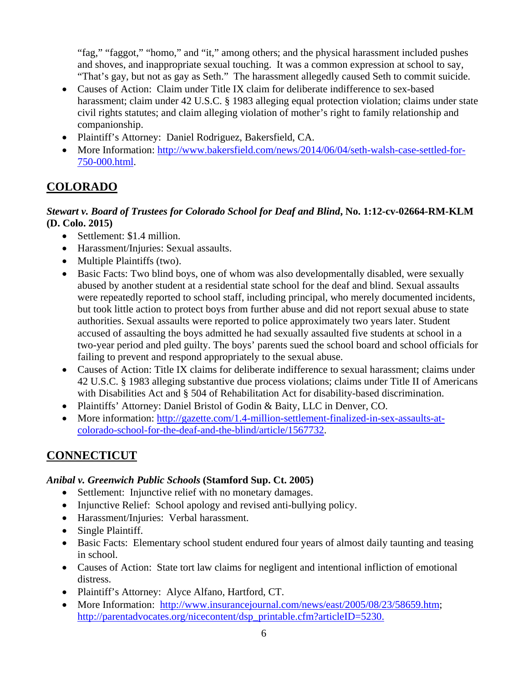"fag," "faggot," "homo," and "it," among others; and the physical harassment included pushes and shoves, and inappropriate sexual touching. It was a common expression at school to say, "That's gay, but not as gay as Seth." The harassment allegedly caused Seth to commit suicide.

- Causes of Action: Claim under Title IX claim for deliberate indifference to sex-based harassment; claim under 42 U.S.C. § 1983 alleging equal protection violation; claims under state civil rights statutes; and claim alleging violation of mother's right to family relationship and companionship.
- Plaintiff's Attorney: Daniel Rodriguez, Bakersfield, CA.
- More Information: http://www.bakersfield.com/news/2014/06/04/seth-walsh-case-settled-for-750-000.html.

## **COLORADO**

#### *Stewart v. Board of Trustees for Colorado School for Deaf and Blind***, No. 1:12-cv-02664-RM-KLM (D. Colo. 2015)**

- Settlement: \$1.4 million.
- Harassment/Injuries: Sexual assaults.
- Multiple Plaintiffs (two).
- Basic Facts: Two blind boys, one of whom was also developmentally disabled, were sexually abused by another student at a residential state school for the deaf and blind. Sexual assaults were repeatedly reported to school staff, including principal, who merely documented incidents, but took little action to protect boys from further abuse and did not report sexual abuse to state authorities. Sexual assaults were reported to police approximately two years later. Student accused of assaulting the boys admitted he had sexually assaulted five students at school in a two-year period and pled guilty. The boys' parents sued the school board and school officials for failing to prevent and respond appropriately to the sexual abuse.
- Causes of Action: Title IX claims for deliberate indifference to sexual harassment; claims under 42 U.S.C. § 1983 alleging substantive due process violations; claims under Title II of Americans with Disabilities Act and § 504 of Rehabilitation Act for disability-based discrimination.
- Plaintiffs' Attorney: Daniel Bristol of Godin & Baity, LLC in Denver, CO.
- More information: http://gazette.com/1.4-million-settlement-finalized-in-sex-assaults-atcolorado-school-for-the-deaf-and-the-blind/article/1567732.

## **CONNECTICUT**

#### *Anibal v. Greenwich Public Schools* **(Stamford Sup. Ct. 2005)**

- Settlement: Injunctive relief with no monetary damages.
- Injunctive Relief: School apology and revised anti-bullying policy.
- Harassment/Injuries: Verbal harassment.
- Single Plaintiff.
- Basic Facts: Elementary school student endured four years of almost daily taunting and teasing in school.
- Causes of Action: State tort law claims for negligent and intentional infliction of emotional distress.
- Plaintiff's Attorney: Alyce Alfano, Hartford, CT.
- More Information: http://www.insurancejournal.com/news/east/2005/08/23/58659.htm; http://parentadvocates.org/nicecontent/dsp\_printable.cfm?articleID=5230.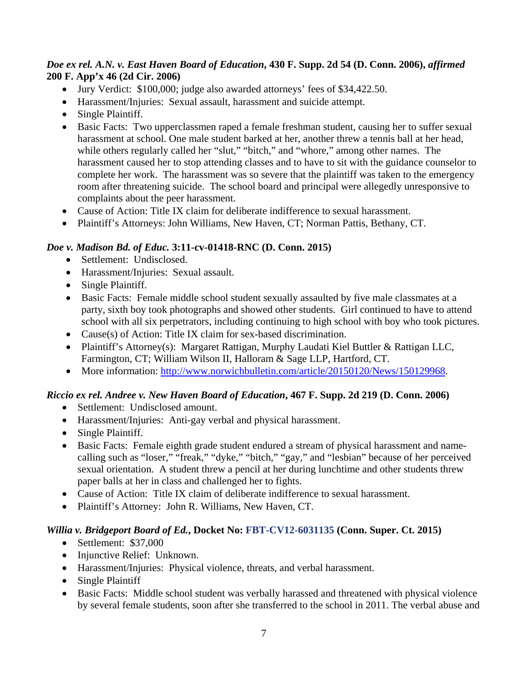#### *Doe ex rel. A.N. v. East Haven Board of Education***, 430 F. Supp. 2d 54 (D. Conn. 2006),** *affirmed* **200 F. App'x 46 (2d Cir. 2006)**

- Jury Verdict: \$100,000; judge also awarded attorneys' fees of \$34,422.50.
- Harassment/Injuries: Sexual assault, harassment and suicide attempt.
- Single Plaintiff.
- Basic Facts: Two upperclassmen raped a female freshman student, causing her to suffer sexual harassment at school. One male student barked at her, another threw a tennis ball at her head, while others regularly called her "slut," "bitch," and "whore," among other names. The harassment caused her to stop attending classes and to have to sit with the guidance counselor to complete her work. The harassment was so severe that the plaintiff was taken to the emergency room after threatening suicide. The school board and principal were allegedly unresponsive to complaints about the peer harassment.
- Cause of Action: Title IX claim for deliberate indifference to sexual harassment.
- Plaintiff's Attorneys: John Williams, New Haven, CT; Norman Pattis, Bethany, CT.

#### *Doe v. Madison Bd. of Educ.* **3:11-cv-01418-RNC (D. Conn. 2015)**

- Settlement: Undisclosed.
- Harassment/Injuries: Sexual assault.
- Single Plaintiff.
- Basic Facts: Female middle school student sexually assaulted by five male classmates at a party, sixth boy took photographs and showed other students. Girl continued to have to attend school with all six perpetrators, including continuing to high school with boy who took pictures.
- Cause(s) of Action: Title IX claim for sex-based discrimination.
- Plaintiff's Attorney(s): Margaret Rattigan, Murphy Laudati Kiel Buttler & Rattigan LLC, Farmington, CT; William Wilson II, Halloram & Sage LLP, Hartford, CT.
- More information: http://www.norwichbulletin.com/article/20150120/News/150129968.

## *Riccio ex rel. Andree v. New Haven Board of Education***, 467 F. Supp. 2d 219 (D. Conn. 2006)**

- Settlement: Undisclosed amount.
- Harassment/Injuries: Anti-gay verbal and physical harassment.
- Single Plaintiff.
- Basic Facts: Female eighth grade student endured a stream of physical harassment and namecalling such as "loser," "freak," "dyke," "bitch," "gay," and "lesbian" because of her perceived sexual orientation. A student threw a pencil at her during lunchtime and other students threw paper balls at her in class and challenged her to fights.
- Cause of Action: Title IX claim of deliberate indifference to sexual harassment.
- Plaintiff's Attorney: John R. Williams, New Haven, CT.

#### *Willia v. Bridgeport Board of Ed.***, Docket No: FBT-CV12-6031135 (Conn. Super. Ct. 2015)**

- Settlement: \$37,000
- Injunctive Relief: Unknown.
- Harassment/Injuries: Physical violence, threats, and verbal harassment.
- Single Plaintiff
- Basic Facts: Middle school student was verbally harassed and threatened with physical violence by several female students, soon after she transferred to the school in 2011. The verbal abuse and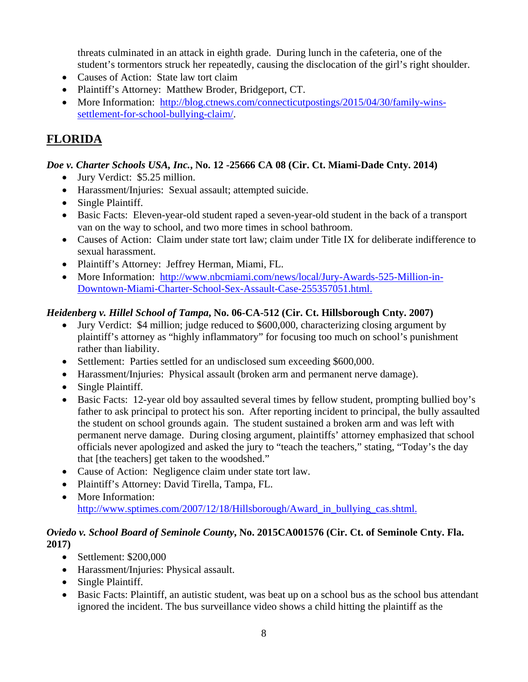threats culminated in an attack in eighth grade. During lunch in the cafeteria, one of the student's tormentors struck her repeatedly, causing the disclocation of the girl's right shoulder.

- Causes of Action: State law tort claim
- Plaintiff's Attorney: Matthew Broder, Bridgeport, CT.
- More Information: http://blog.ctnews.com/connecticutpostings/2015/04/30/family-winssettlement-for-school-bullying-claim/.

## **FLORIDA**

#### *Doe v. Charter Schools USA, Inc.***, No. 12 -25666 CA 08 (Cir. Ct. Miami-Dade Cnty. 2014)**

- Jury Verdict: \$5.25 million.
- Harassment/Injuries: Sexual assault; attempted suicide.
- Single Plaintiff.
- Basic Facts: Eleven-year-old student raped a seven-year-old student in the back of a transport van on the way to school, and two more times in school bathroom.
- Causes of Action: Claim under state tort law; claim under Title IX for deliberate indifference to sexual harassment.
- Plaintiff's Attorney: Jeffrey Herman, Miami, FL.
- More Information: http://www.nbcmiami.com/news/local/Jury-Awards-525-Million-in-Downtown-Miami-Charter-School-Sex-Assault-Case-255357051.html.

## *Heidenberg v. Hillel School of Tampa***, No. 06-CA-512 (Cir. Ct. Hillsborough Cnty. 2007)**

- Jury Verdict: \$4 million; judge reduced to \$600,000, characterizing closing argument by plaintiff's attorney as "highly inflammatory" for focusing too much on school's punishment rather than liability.
- Settlement: Parties settled for an undisclosed sum exceeding \$600,000.
- Harassment/Injuries: Physical assault (broken arm and permanent nerve damage).
- Single Plaintiff.
- Basic Facts: 12-year old boy assaulted several times by fellow student, prompting bullied boy's father to ask principal to protect his son. After reporting incident to principal, the bully assaulted the student on school grounds again. The student sustained a broken arm and was left with permanent nerve damage. During closing argument, plaintiffs' attorney emphasized that school officials never apologized and asked the jury to "teach the teachers," stating, "Today's the day that [the teachers] get taken to the woodshed."
- Cause of Action: Negligence claim under state tort law.
- Plaintiff's Attorney: David Tirella, Tampa, FL.
- More Information: http://www.sptimes.com/2007/12/18/Hillsborough/Award\_in\_bullying\_cas.shtml.

#### *Oviedo v. School Board of Seminole County***, No. 2015CA001576 (Cir. Ct. of Seminole Cnty. Fla. 2017)**

- Settlement: \$200,000
- Harassment/Injuries: Physical assault.
- Single Plaintiff.
- Basic Facts: Plaintiff, an autistic student, was beat up on a school bus as the school bus attendant ignored the incident. The bus surveillance video shows a child hitting the plaintiff as the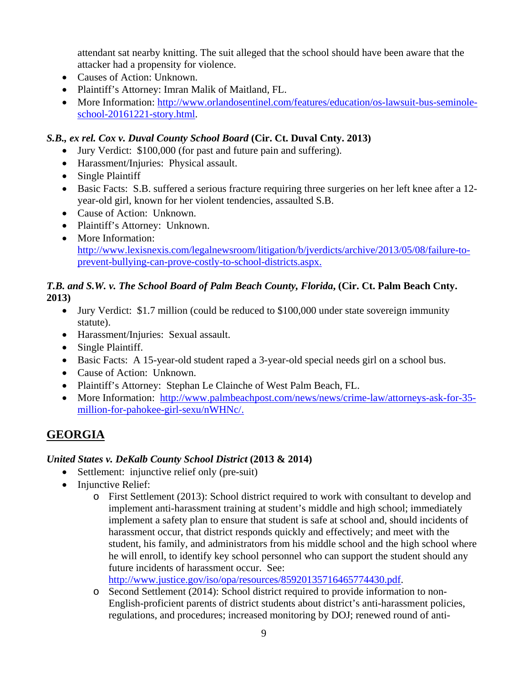attendant sat nearby knitting. The suit alleged that the school should have been aware that the attacker had a propensity for violence.

- Causes of Action: Unknown.
- Plaintiff's Attorney: Imran Malik of Maitland, FL.
- More Information: http://www.orlandosentinel.com/features/education/os-lawsuit-bus-seminoleschool-20161221-story.html.

#### *S.B., ex rel. Cox v. Duval County School Board* **(Cir. Ct. Duval Cnty. 2013)**

- Jury Verdict: \$100,000 (for past and future pain and suffering).
- Harassment/Injuries: Physical assault.
- Single Plaintiff
- Basic Facts: S.B. suffered a serious fracture requiring three surgeries on her left knee after a 12 year-old girl, known for her violent tendencies, assaulted S.B.
- Cause of Action: Unknown.
- Plaintiff's Attorney: Unknown.
- More Information: http://www.lexisnexis.com/legalnewsroom/litigation/b/jverdicts/archive/2013/05/08/failure-toprevent-bullying-can-prove-costly-to-school-districts.aspx.

#### *T.B. and S.W. v. The School Board of Palm Beach County, Florida***, (Cir. Ct. Palm Beach Cnty. 2013)**

- Jury Verdict: \$1.7 million (could be reduced to \$100,000 under state sovereign immunity statute).
- Harassment/Injuries: Sexual assault.
- Single Plaintiff.
- Basic Facts: A 15-year-old student raped a 3-year-old special needs girl on a school bus.
- Cause of Action: Unknown.
- Plaintiff's Attorney: Stephan Le Clainche of West Palm Beach, FL.
- More Information: http://www.palmbeachpost.com/news/news/crime-law/attorneys-ask-for-35million-for-pahokee-girl-sexu/nWHNc/.

## **GEORGIA**

## *United States v. DeKalb County School District* **(2013 & 2014)**

- Settlement: injunctive relief only (pre-suit)
- Injunctive Relief:
	- o First Settlement (2013): School district required to work with consultant to develop and implement anti-harassment training at student's middle and high school; immediately implement a safety plan to ensure that student is safe at school and, should incidents of harassment occur, that district responds quickly and effectively; and meet with the student, his family, and administrators from his middle school and the high school where he will enroll, to identify key school personnel who can support the student should any future incidents of harassment occur. See: http://www.justice.gov/iso/opa/resources/85920135716465774430.pdf.

o Second Settlement (2014): School district required to provide information to non-English-proficient parents of district students about district's anti-harassment policies, regulations, and procedures; increased monitoring by DOJ; renewed round of anti-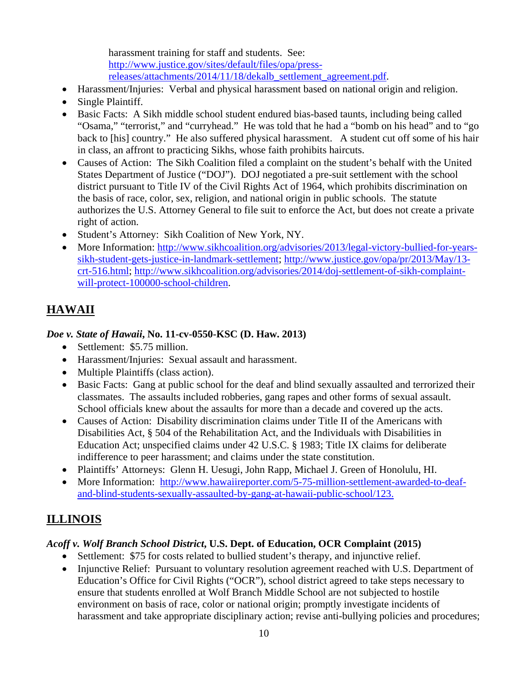harassment training for staff and students. See: http://www.justice.gov/sites/default/files/opa/pressreleases/attachments/2014/11/18/dekalb\_settlement\_agreement.pdf.

- Harassment/Injuries: Verbal and physical harassment based on national origin and religion.
- Single Plaintiff.
- Basic Facts: A Sikh middle school student endured bias-based taunts, including being called "Osama," "terrorist," and "curryhead." He was told that he had a "bomb on his head" and to "go back to [his] country." He also suffered physical harassment. A student cut off some of his hair in class, an affront to practicing Sikhs, whose faith prohibits haircuts.
- Causes of Action: The Sikh Coalition filed a complaint on the student's behalf with the United States Department of Justice ("DOJ"). DOJ negotiated a pre-suit settlement with the school district pursuant to Title IV of the Civil Rights Act of 1964, which prohibits discrimination on the basis of race, color, sex, religion, and national origin in public schools. The statute authorizes the U.S. Attorney General to file suit to enforce the Act, but does not create a private right of action.
- Student's Attorney: Sikh Coalition of New York, NY.
- More Information: http://www.sikhcoalition.org/advisories/2013/legal-victory-bullied-for-yearssikh-student-gets-justice-in-landmark-settlement; http://www.justice.gov/opa/pr/2013/May/13 crt-516.html; http://www.sikhcoalition.org/advisories/2014/doj-settlement-of-sikh-complaintwill-protect-100000-school-children.

# **HAWAII**

## *Doe v. State of Hawaii***, No. 11-cv-0550-KSC (D. Haw. 2013)**

- Settlement: \$5.75 million.
- Harassment/Injuries: Sexual assault and harassment.
- Multiple Plaintiffs (class action).
- Basic Facts: Gang at public school for the deaf and blind sexually assaulted and terrorized their classmates. The assaults included robberies, gang rapes and other forms of sexual assault. School officials knew about the assaults for more than a decade and covered up the acts.
- Causes of Action: Disability discrimination claims under Title II of the Americans with Disabilities Act, § 504 of the Rehabilitation Act, and the Individuals with Disabilities in Education Act; unspecified claims under 42 U.S.C. § 1983; Title IX claims for deliberate indifference to peer harassment; and claims under the state constitution.
- Plaintiffs' Attorneys: Glenn H. Uesugi, John Rapp, Michael J. Green of Honolulu, HI.
- More Information: http://www.hawaiireporter.com/5-75-million-settlement-awarded-to-deafand-blind-students-sexually-assaulted-by-gang-at-hawaii-public-school/123.

# **ILLINOIS**

## *Acoff v. Wolf Branch School District***, U.S. Dept. of Education, OCR Complaint (2015)**

- Settlement: \$75 for costs related to bullied student's therapy, and injunctive relief.
- Injunctive Relief: Pursuant to voluntary resolution agreement reached with U.S. Department of Education's Office for Civil Rights ("OCR"), school district agreed to take steps necessary to ensure that students enrolled at Wolf Branch Middle School are not subjected to hostile environment on basis of race, color or national origin; promptly investigate incidents of harassment and take appropriate disciplinary action; revise anti-bullying policies and procedures;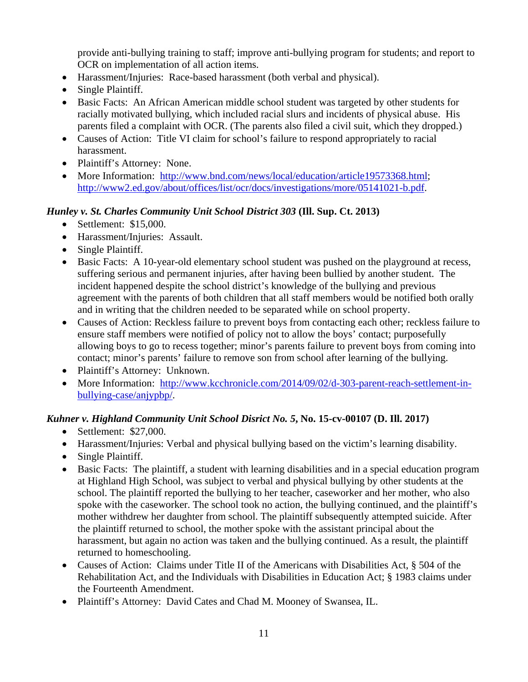provide anti-bullying training to staff; improve anti-bullying program for students; and report to OCR on implementation of all action items.

- Harassment/Injuries: Race-based harassment (both verbal and physical).
- Single Plaintiff.
- Basic Facts: An African American middle school student was targeted by other students for racially motivated bullying, which included racial slurs and incidents of physical abuse. His parents filed a complaint with OCR. (The parents also filed a civil suit, which they dropped.)
- Causes of Action: Title VI claim for school's failure to respond appropriately to racial harassment.
- Plaintiff's Attorney: None.
- More Information: http://www.bnd.com/news/local/education/article19573368.html; http://www2.ed.gov/about/offices/list/ocr/docs/investigations/more/05141021-b.pdf.

#### *Hunley v. St. Charles Community Unit School District 303* **(Ill. Sup. Ct. 2013)**

- Settlement: \$15,000.
- Harassment/Injuries: Assault.
- Single Plaintiff.
- Basic Facts: A 10-year-old elementary school student was pushed on the playground at recess, suffering serious and permanent injuries, after having been bullied by another student. The incident happened despite the school district's knowledge of the bullying and previous agreement with the parents of both children that all staff members would be notified both orally and in writing that the children needed to be separated while on school property.
- Causes of Action: Reckless failure to prevent boys from contacting each other; reckless failure to ensure staff members were notified of policy not to allow the boys' contact; purposefully allowing boys to go to recess together; minor's parents failure to prevent boys from coming into contact; minor's parents' failure to remove son from school after learning of the bullying.
- Plaintiff's Attorney: Unknown.
- More Information: http://www.kcchronicle.com/2014/09/02/d-303-parent-reach-settlement-inbullying-case/anjypbp/.

#### *Kuhner v. Highland Community Unit School Disrict No. 5***, No. 15-cv-00107 (D. Ill. 2017)**

- Settlement: \$27,000.
- Harassment/Injuries: Verbal and physical bullying based on the victim's learning disability.
- Single Plaintiff.
- Basic Facts: The plaintiff, a student with learning disabilities and in a special education program at Highland High School, was subject to verbal and physical bullying by other students at the school. The plaintiff reported the bullying to her teacher, caseworker and her mother, who also spoke with the caseworker. The school took no action, the bullying continued, and the plaintiff's mother withdrew her daughter from school. The plaintiff subsequently attempted suicide. After the plaintiff returned to school, the mother spoke with the assistant principal about the harassment, but again no action was taken and the bullying continued. As a result, the plaintiff returned to homeschooling.
- Causes of Action: Claims under Title II of the Americans with Disabilities Act, § 504 of the Rehabilitation Act, and the Individuals with Disabilities in Education Act; § 1983 claims under the Fourteenth Amendment.
- Plaintiff's Attorney: David Cates and Chad M. Mooney of Swansea, IL.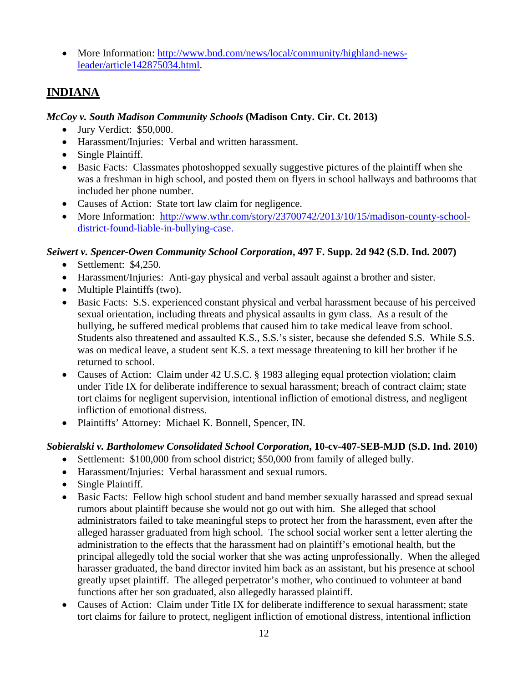• More Information: http://www.bnd.com/news/local/community/highland-newsleader/article142875034.html.

## **INDIANA**

#### *McCoy v. South Madison Community Schools* **(Madison Cnty. Cir. Ct. 2013)**

- Jury Verdict: \$50,000.
- Harassment/Injuries: Verbal and written harassment.
- Single Plaintiff.
- Basic Facts: Classmates photoshopped sexually suggestive pictures of the plaintiff when she was a freshman in high school, and posted them on flyers in school hallways and bathrooms that included her phone number.
- Causes of Action: State tort law claim for negligence.
- More Information: http://www.wthr.com/story/23700742/2013/10/15/madison-county-schooldistrict-found-liable-in-bullying-case.

#### *Seiwert v. Spencer-Owen Community School Corporation***, 497 F. Supp. 2d 942 (S.D. Ind. 2007)**

- $\bullet$  Settlement: \$4,250.
- Harassment/Injuries: Anti-gay physical and verbal assault against a brother and sister.
- Multiple Plaintiffs (two).
- Basic Facts: S.S. experienced constant physical and verbal harassment because of his perceived sexual orientation, including threats and physical assaults in gym class. As a result of the bullying, he suffered medical problems that caused him to take medical leave from school. Students also threatened and assaulted K.S., S.S.'s sister, because she defended S.S. While S.S. was on medical leave, a student sent K.S. a text message threatening to kill her brother if he returned to school.
- Causes of Action: Claim under 42 U.S.C. § 1983 alleging equal protection violation; claim under Title IX for deliberate indifference to sexual harassment; breach of contract claim; state tort claims for negligent supervision, intentional infliction of emotional distress, and negligent infliction of emotional distress.
- Plaintiffs' Attorney: Michael K. Bonnell, Spencer, IN.

#### *Sobieralski v. Bartholomew Consolidated School Corporation***, 10-cv-407-SEB-MJD (S.D. Ind. 2010)**

- Settlement: \$100,000 from school district; \$50,000 from family of alleged bully.
- Harassment/Injuries: Verbal harassment and sexual rumors.
- Single Plaintiff.
- Basic Facts: Fellow high school student and band member sexually harassed and spread sexual rumors about plaintiff because she would not go out with him. She alleged that school administrators failed to take meaningful steps to protect her from the harassment, even after the alleged harasser graduated from high school. The school social worker sent a letter alerting the administration to the effects that the harassment had on plaintiff's emotional health, but the principal allegedly told the social worker that she was acting unprofessionally. When the alleged harasser graduated, the band director invited him back as an assistant, but his presence at school greatly upset plaintiff. The alleged perpetrator's mother, who continued to volunteer at band functions after her son graduated, also allegedly harassed plaintiff.
- Causes of Action: Claim under Title IX for deliberate indifference to sexual harassment; state tort claims for failure to protect, negligent infliction of emotional distress, intentional infliction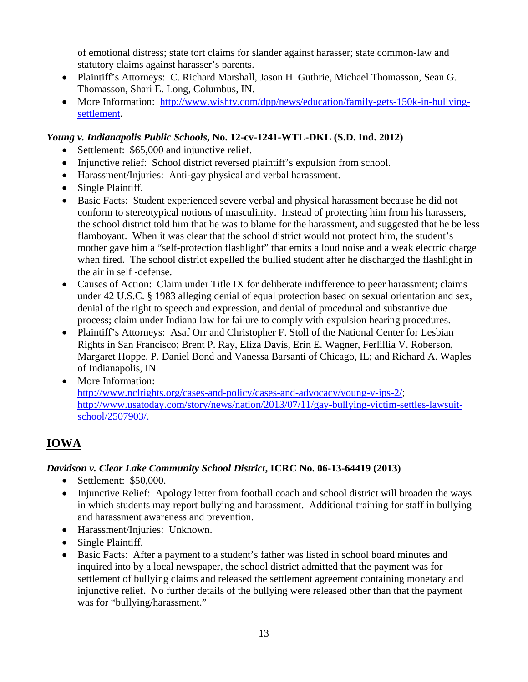of emotional distress; state tort claims for slander against harasser; state common-law and statutory claims against harasser's parents.

- Plaintiff's Attorneys: C. Richard Marshall, Jason H. Guthrie, Michael Thomasson, Sean G. Thomasson, Shari E. Long, Columbus, IN.
- More Information: http://www.wishtv.com/dpp/news/education/family-gets-150k-in-bullyingsettlement.

#### *Young v. Indianapolis Public Schools***, No. 12-cv-1241-WTL-DKL (S.D. Ind. 2012)**

- Settlement: \$65,000 and injunctive relief.
- Injunctive relief: School district reversed plaintiff's expulsion from school.
- Harassment/Injuries: Anti-gay physical and verbal harassment.
- Single Plaintiff.
- Basic Facts: Student experienced severe verbal and physical harassment because he did not conform to stereotypical notions of masculinity. Instead of protecting him from his harassers, the school district told him that he was to blame for the harassment, and suggested that he be less flamboyant. When it was clear that the school district would not protect him, the student's mother gave him a "self-protection flashlight" that emits a loud noise and a weak electric charge when fired. The school district expelled the bullied student after he discharged the flashlight in the air in self -defense.
- Causes of Action: Claim under Title IX for deliberate indifference to peer harassment; claims under 42 U.S.C. § 1983 alleging denial of equal protection based on sexual orientation and sex, denial of the right to speech and expression, and denial of procedural and substantive due process; claim under Indiana law for failure to comply with expulsion hearing procedures.
- Plaintiff's Attorneys: Asaf Orr and Christopher F. Stoll of the National Center for Lesbian Rights in San Francisco; Brent P. Ray, Eliza Davis, Erin E. Wagner, Ferlillia V. Roberson, Margaret Hoppe, P. Daniel Bond and Vanessa Barsanti of Chicago, IL; and Richard A. Waples of Indianapolis, IN.
- More Information: http://www.nclrights.org/cases-and-policy/cases-and-advocacy/young-v-ips-2/; http://www.usatoday.com/story/news/nation/2013/07/11/gay-bullying-victim-settles-lawsuitschool/2507903/.

## **IOWA**

#### *Davidson v. Clear Lake Community School District***, ICRC No. 06-13-64419 (2013)**

- Settlement: \$50,000.
- Injunctive Relief: Apology letter from football coach and school district will broaden the ways in which students may report bullying and harassment. Additional training for staff in bullying and harassment awareness and prevention.
- Harassment/Injuries: Unknown.
- Single Plaintiff.
- Basic Facts: After a payment to a student's father was listed in school board minutes and inquired into by a local newspaper, the school district admitted that the payment was for settlement of bullying claims and released the settlement agreement containing monetary and injunctive relief. No further details of the bullying were released other than that the payment was for "bullying/harassment."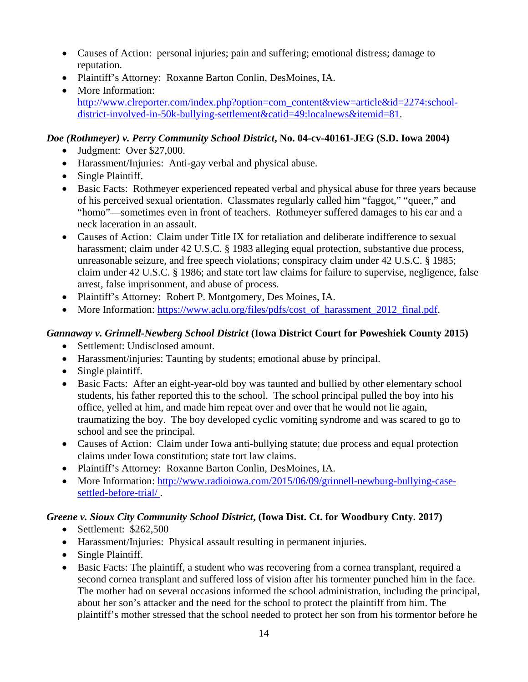- Causes of Action: personal injuries; pain and suffering; emotional distress; damage to reputation.
- Plaintiff's Attorney: Roxanne Barton Conlin, DesMoines, IA.
- More Information: http://www.clreporter.com/index.php?option=com\_content&view=article&id=2274:schooldistrict-involved-in-50k-bullying-settlement&catid=49:localnews&itemid=81.

#### *Doe (Rothmeyer) v. Perry Community School District***, No. 04-cv-40161-JEG (S.D. Iowa 2004)**

- Judgment: Over \$27,000.
- Harassment/Injuries: Anti-gay verbal and physical abuse.
- Single Plaintiff.
- Basic Facts: Rothmeyer experienced repeated verbal and physical abuse for three years because of his perceived sexual orientation. Classmates regularly called him "faggot," "queer," and "homo"—sometimes even in front of teachers. Rothmeyer suffered damages to his ear and a neck laceration in an assault.
- Causes of Action: Claim under Title IX for retaliation and deliberate indifference to sexual harassment; claim under 42 U.S.C. § 1983 alleging equal protection, substantive due process, unreasonable seizure, and free speech violations; conspiracy claim under 42 U.S.C. § 1985; claim under 42 U.S.C. § 1986; and state tort law claims for failure to supervise, negligence, false arrest, false imprisonment, and abuse of process.
- Plaintiff's Attorney: Robert P. Montgomery, Des Moines, IA.
- More Information: https://www.aclu.org/files/pdfs/cost\_of\_harassment\_2012\_final.pdf.

#### *Gannaway v. Grinnell-Newberg School District* **(Iowa District Court for Poweshiek County 2015)**

- Settlement: Undisclosed amount.
- Harassment/injuries: Taunting by students; emotional abuse by principal.
- Single plaintiff.
- Basic Facts: After an eight-year-old boy was taunted and bullied by other elementary school students, his father reported this to the school. The school principal pulled the boy into his office, yelled at him, and made him repeat over and over that he would not lie again, traumatizing the boy. The boy developed cyclic vomiting syndrome and was scared to go to school and see the principal.
- Causes of Action: Claim under Iowa anti-bullying statute; due process and equal protection claims under Iowa constitution; state tort law claims.
- Plaintiff's Attorney: Roxanne Barton Conlin, DesMoines, IA.
- More Information: http://www.radioiowa.com/2015/06/09/grinnell-newburg-bullying-casesettled-before-trial/ .

#### *Greene v. Sioux City Community School District***, (Iowa Dist. Ct. for Woodbury Cnty. 2017)**

- $\bullet$  Settlement: \$262,500
- Harassment/Injuries: Physical assault resulting in permanent injuries.
- Single Plaintiff.
- Basic Facts: The plaintiff, a student who was recovering from a cornea transplant, required a second cornea transplant and suffered loss of vision after his tormenter punched him in the face. The mother had on several occasions informed the school administration, including the principal, about her son's attacker and the need for the school to protect the plaintiff from him. The plaintiff's mother stressed that the school needed to protect her son from his tormentor before he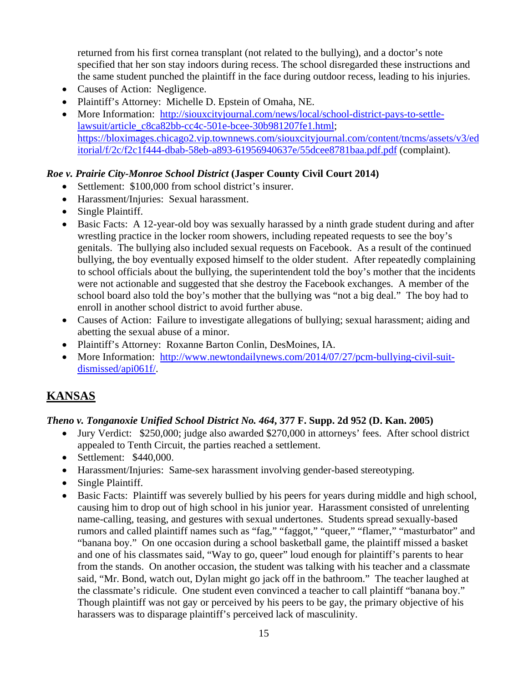returned from his first cornea transplant (not related to the bullying), and a doctor's note specified that her son stay indoors during recess. The school disregarded these instructions and the same student punched the plaintiff in the face during outdoor recess, leading to his injuries.

- Causes of Action: Negligence.
- Plaintiff's Attorney: Michelle D. Epstein of Omaha, NE.
- More Information: http://siouxcityjournal.com/news/local/school-district-pays-to-settlelawsuit/article\_c8ca82bb-cc4c-501e-bcee-30b981207fe1.html; https://bloximages.chicago2.vip.townnews.com/siouxcityjournal.com/content/tncms/assets/v3/ed itorial/f/2c/f2c1f444-dbab-58eb-a893-61956940637e/55dcee8781baa.pdf.pdf (complaint).

#### *Roe v. Prairie City-Monroe School District* **(Jasper County Civil Court 2014)**

- Settlement: \$100,000 from school district's insurer.
- Harassment/Injuries: Sexual harassment.
- Single Plaintiff.
- Basic Facts: A 12-year-old boy was sexually harassed by a ninth grade student during and after wrestling practice in the locker room showers, including repeated requests to see the boy's genitals. The bullying also included sexual requests on Facebook. As a result of the continued bullying, the boy eventually exposed himself to the older student. After repeatedly complaining to school officials about the bullying, the superintendent told the boy's mother that the incidents were not actionable and suggested that she destroy the Facebook exchanges. A member of the school board also told the boy's mother that the bullying was "not a big deal." The boy had to enroll in another school district to avoid further abuse.
- Causes of Action: Failure to investigate allegations of bullying; sexual harassment; aiding and abetting the sexual abuse of a minor.
- Plaintiff's Attorney: Roxanne Barton Conlin, DesMoines, IA.
- More Information: http://www.newtondailynews.com/2014/07/27/pcm-bullying-civil-suitdismissed/api061f/.

## **KANSAS**

## *Theno v. Tonganoxie Unified School District No. 464***, 377 F. Supp. 2d 952 (D. Kan. 2005)**

- Jury Verdict: \$250,000; judge also awarded \$270,000 in attorneys' fees. After school district appealed to Tenth Circuit, the parties reached a settlement.
- Settlement: \$440,000.
- Harassment/Injuries: Same-sex harassment involving gender-based stereotyping.
- Single Plaintiff.
- Basic Facts: Plaintiff was severely bullied by his peers for years during middle and high school, causing him to drop out of high school in his junior year. Harassment consisted of unrelenting name-calling, teasing, and gestures with sexual undertones. Students spread sexually-based rumors and called plaintiff names such as "fag," "faggot," "queer," "flamer," "masturbator" and "banana boy." On one occasion during a school basketball game, the plaintiff missed a basket and one of his classmates said, "Way to go, queer" loud enough for plaintiff's parents to hear from the stands. On another occasion, the student was talking with his teacher and a classmate said, "Mr. Bond, watch out, Dylan might go jack off in the bathroom." The teacher laughed at the classmate's ridicule. One student even convinced a teacher to call plaintiff "banana boy." Though plaintiff was not gay or perceived by his peers to be gay, the primary objective of his harassers was to disparage plaintiff's perceived lack of masculinity.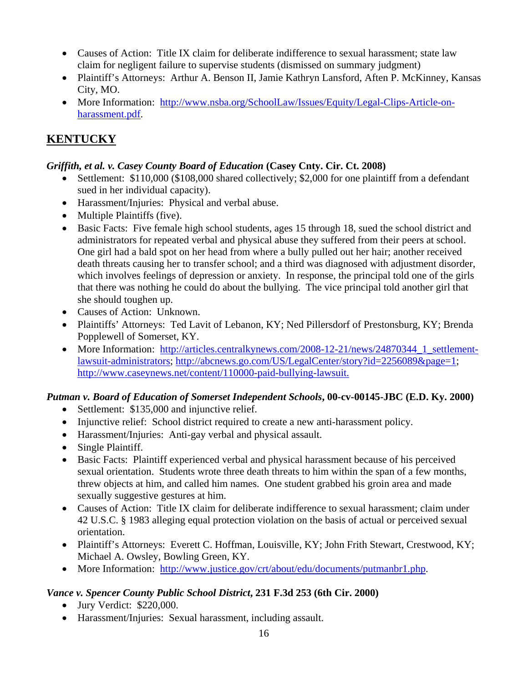- Causes of Action: Title IX claim for deliberate indifference to sexual harassment; state law claim for negligent failure to supervise students (dismissed on summary judgment)
- Plaintiff's Attorneys: Arthur A. Benson II, Jamie Kathryn Lansford, Aften P. McKinney, Kansas City, MO.
- More Information: http://www.nsba.org/SchoolLaw/Issues/Equity/Legal-Clips-Article-onharassment.pdf.

# **KENTUCKY**

## *Griffith, et al. v. Casey County Board of Education* **(Casey Cnty. Cir. Ct. 2008)**

- Settlement: \$110,000 (\$108,000 shared collectively; \$2,000 for one plaintiff from a defendant sued in her individual capacity).
- Harassment/Injuries: Physical and verbal abuse.
- Multiple Plaintiffs (five).
- Basic Facts: Five female high school students, ages 15 through 18, sued the school district and administrators for repeated verbal and physical abuse they suffered from their peers at school. One girl had a bald spot on her head from where a bully pulled out her hair; another received death threats causing her to transfer school; and a third was diagnosed with adjustment disorder, which involves feelings of depression or anxiety. In response, the principal told one of the girls that there was nothing he could do about the bullying. The vice principal told another girl that she should toughen up.
- Causes of Action: Unknown.
- Plaintiffs' Attorneys: Ted Lavit of Lebanon, KY; Ned Pillersdorf of Prestonsburg, KY; Brenda Popplewell of Somerset, KY.
- More Information: http://articles.centralkynews.com/2008-12-21/news/24870344\_1\_settlementlawsuit-administrators; http://abcnews.go.com/US/LegalCenter/story?id=2256089&page=1; http://www.caseynews.net/content/110000-paid-bullying-lawsuit.

## *Putman v. Board of Education of Somerset Independent Schools***, 00-cv-00145-JBC (E.D. Ky. 2000)**

- Settlement: \$135,000 and injunctive relief.
- Injunctive relief: School district required to create a new anti-harassment policy.
- Harassment/Injuries: Anti-gay verbal and physical assault.
- Single Plaintiff.
- Basic Facts: Plaintiff experienced verbal and physical harassment because of his perceived sexual orientation. Students wrote three death threats to him within the span of a few months, threw objects at him, and called him names. One student grabbed his groin area and made sexually suggestive gestures at him.
- Causes of Action: Title IX claim for deliberate indifference to sexual harassment; claim under 42 U.S.C. § 1983 alleging equal protection violation on the basis of actual or perceived sexual orientation.
- Plaintiff's Attorneys: Everett C. Hoffman, Louisville, KY; John Frith Stewart, Crestwood, KY; Michael A. Owsley, Bowling Green, KY.
- More Information: http://www.justice.gov/crt/about/edu/documents/putmanbr1.php.

## *Vance v. Spencer County Public School District***, 231 F.3d 253 (6th Cir. 2000)**

- Jury Verdict: \$220,000.
- Harassment/Injuries: Sexual harassment, including assault.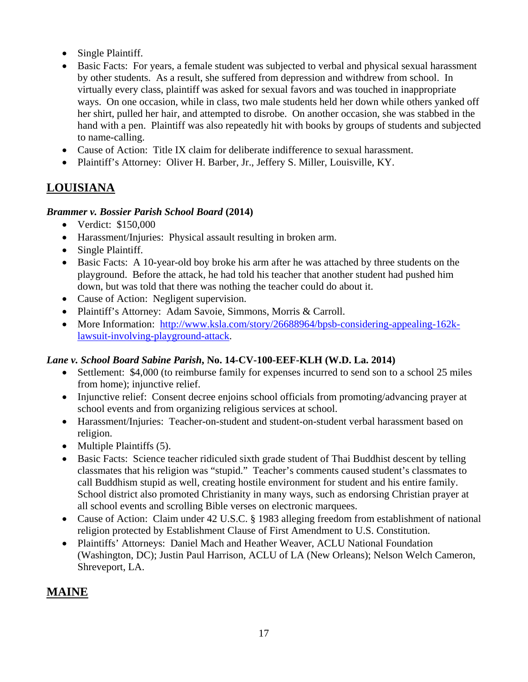- Single Plaintiff.
- Basic Facts: For years, a female student was subjected to verbal and physical sexual harassment by other students. As a result, she suffered from depression and withdrew from school. In virtually every class, plaintiff was asked for sexual favors and was touched in inappropriate ways. On one occasion, while in class, two male students held her down while others yanked off her shirt, pulled her hair, and attempted to disrobe. On another occasion, she was stabbed in the hand with a pen. Plaintiff was also repeatedly hit with books by groups of students and subjected to name-calling.
- Cause of Action: Title IX claim for deliberate indifference to sexual harassment.
- Plaintiff's Attorney: Oliver H. Barber, Jr., Jeffery S. Miller, Louisville, KY.

## **LOUISIANA**

#### *Brammer v. Bossier Parish School Board* **(2014)**

- Verdict: \$150,000
- Harassment/Injuries: Physical assault resulting in broken arm.
- Single Plaintiff.
- Basic Facts: A 10-year-old boy broke his arm after he was attached by three students on the playground. Before the attack, he had told his teacher that another student had pushed him down, but was told that there was nothing the teacher could do about it.
- Cause of Action: Negligent supervision.
- Plaintiff's Attorney: Adam Savoie, Simmons, Morris & Carroll.
- More Information: http://www.ksla.com/story/26688964/bpsb-considering-appealing-162klawsuit-involving-playground-attack.

## *Lane v. School Board Sabine Parish***, No. 14-CV-100-EEF-KLH (W.D. La. 2014)**

- Settlement: \$4,000 (to reimburse family for expenses incurred to send son to a school 25 miles from home); injunctive relief.
- Injunctive relief: Consent decree enjoins school officials from promoting/advancing prayer at school events and from organizing religious services at school.
- Harassment/Injuries: Teacher-on-student and student-on-student verbal harassment based on religion.
- Multiple Plaintiffs (5).
- Basic Facts: Science teacher ridiculed sixth grade student of Thai Buddhist descent by telling classmates that his religion was "stupid." Teacher's comments caused student's classmates to call Buddhism stupid as well, creating hostile environment for student and his entire family. School district also promoted Christianity in many ways, such as endorsing Christian prayer at all school events and scrolling Bible verses on electronic marquees.
- Cause of Action: Claim under 42 U.S.C. § 1983 alleging freedom from establishment of national religion protected by Establishment Clause of First Amendment to U.S. Constitution.
- Plaintiffs' Attorneys: Daniel Mach and Heather Weaver, ACLU National Foundation (Washington, DC); Justin Paul Harrison, ACLU of LA (New Orleans); Nelson Welch Cameron, Shreveport, LA.

## **MAINE**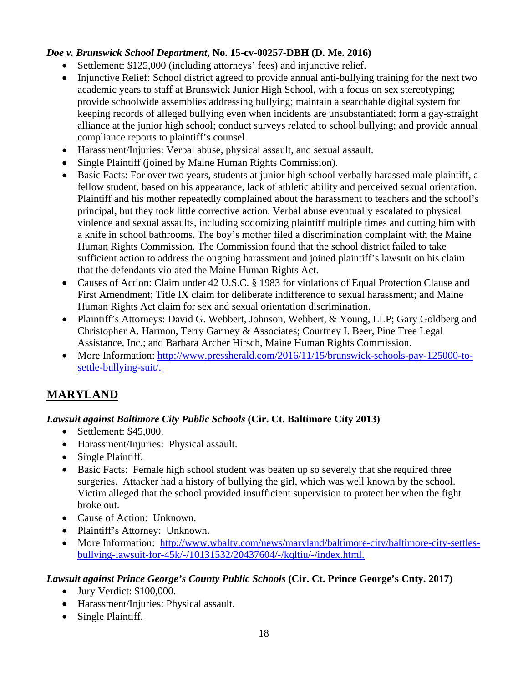## *Doe v. Brunswick School Department***, No. 15-cv-00257-DBH (D. Me. 2016)**

- Settlement: \$125,000 (including attorneys' fees) and injunctive relief.
- Injunctive Relief: School district agreed to provide annual anti-bullying training for the next two academic years to staff at Brunswick Junior High School, with a focus on sex stereotyping; provide schoolwide assemblies addressing bullying; maintain a searchable digital system for keeping records of alleged bullying even when incidents are unsubstantiated; form a gay-straight alliance at the junior high school; conduct surveys related to school bullying; and provide annual compliance reports to plaintiff's counsel.
- Harassment/Injuries: Verbal abuse, physical assault, and sexual assault.
- Single Plaintiff (joined by Maine Human Rights Commission).
- Basic Facts: For over two years, students at junior high school verbally harassed male plaintiff, a fellow student, based on his appearance, lack of athletic ability and perceived sexual orientation. Plaintiff and his mother repeatedly complained about the harassment to teachers and the school's principal, but they took little corrective action. Verbal abuse eventually escalated to physical violence and sexual assaults, including sodomizing plaintiff multiple times and cutting him with a knife in school bathrooms. The boy's mother filed a discrimination complaint with the Maine Human Rights Commission. The Commission found that the school district failed to take sufficient action to address the ongoing harassment and joined plaintiff's lawsuit on his claim that the defendants violated the Maine Human Rights Act.
- Causes of Action: Claim under 42 U.S.C. § 1983 for violations of Equal Protection Clause and First Amendment; Title IX claim for deliberate indifference to sexual harassment; and Maine Human Rights Act claim for sex and sexual orientation discrimination.
- Plaintiff's Attorneys: David G. Webbert, Johnson, Webbert, & Young, LLP; Gary Goldberg and Christopher A. Harmon, Terry Garmey & Associates; Courtney I. Beer, Pine Tree Legal Assistance, Inc.; and Barbara Archer Hirsch, Maine Human Rights Commission.
- More Information: http://www.pressherald.com/2016/11/15/brunswick-schools-pay-125000-tosettle-bullying-suit/.

## **MARYLAND**

#### *Lawsuit against Baltimore City Public Schools* **(Cir. Ct. Baltimore City 2013)**

- Settlement: \$45,000.
- Harassment/Injuries: Physical assault.
- Single Plaintiff.
- Basic Facts: Female high school student was beaten up so severely that she required three surgeries. Attacker had a history of bullying the girl, which was well known by the school. Victim alleged that the school provided insufficient supervision to protect her when the fight broke out.
- Cause of Action: Unknown.
- Plaintiff's Attorney: Unknown.
- More Information: http://www.wbaltv.com/news/maryland/baltimore-city/baltimore-city-settlesbullying-lawsuit-for-45k/-/10131532/20437604/-/kqltiu/-/index.html.

#### *Lawsuit against Prince George's County Public Schools* **(Cir. Ct. Prince George's Cnty. 2017)**

- Jury Verdict: \$100,000.
- Harassment/Injuries: Physical assault.
- Single Plaintiff.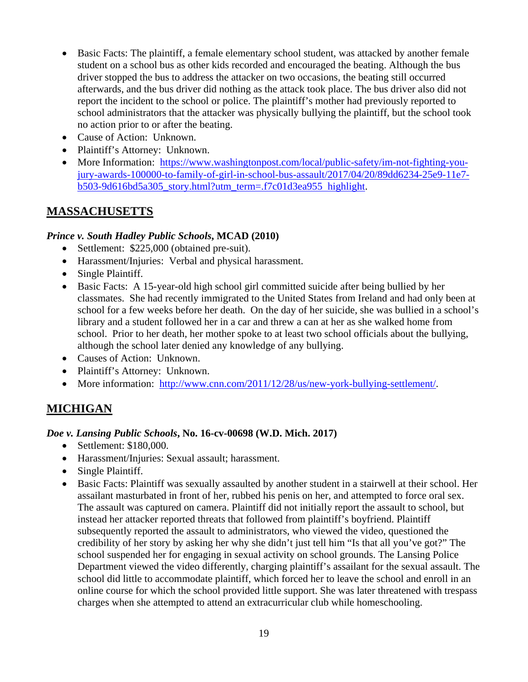- Basic Facts: The plaintiff, a female elementary school student, was attacked by another female student on a school bus as other kids recorded and encouraged the beating. Although the bus driver stopped the bus to address the attacker on two occasions, the beating still occurred afterwards, and the bus driver did nothing as the attack took place. The bus driver also did not report the incident to the school or police. The plaintiff's mother had previously reported to school administrators that the attacker was physically bullying the plaintiff, but the school took no action prior to or after the beating.
- Cause of Action: Unknown.
- Plaintiff's Attorney: Unknown.
- More Information: https://www.washingtonpost.com/local/public-safety/im-not-fighting-youjury-awards-100000-to-family-of-girl-in-school-bus-assault/2017/04/20/89dd6234-25e9-11e7  $b503-9d616bd5a305$  story.html?utm\_term=.f7c01d3ea955 highlight.

## **MASSACHUSETTS**

#### *Prince v. South Hadley Public Schools***, MCAD (2010)**

- Settlement: \$225,000 (obtained pre-suit).
- Harassment/Injuries: Verbal and physical harassment.
- Single Plaintiff.
- Basic Facts: A 15-year-old high school girl committed suicide after being bullied by her classmates. She had recently immigrated to the United States from Ireland and had only been at school for a few weeks before her death. On the day of her suicide, she was bullied in a school's library and a student followed her in a car and threw a can at her as she walked home from school. Prior to her death, her mother spoke to at least two school officials about the bullying, although the school later denied any knowledge of any bullying.
- Causes of Action: Unknown.
- Plaintiff's Attorney: Unknown.
- More information: http://www.cnn.com/2011/12/28/us/new-york-bullying-settlement/.

## **MICHIGAN**

#### *Doe v. Lansing Public Schools***, No. 16-cv-00698 (W.D. Mich. 2017)**

- Settlement: \$180,000.
- Harassment/Injuries: Sexual assault; harassment.
- Single Plaintiff.
- Basic Facts: Plaintiff was sexually assaulted by another student in a stairwell at their school. Her assailant masturbated in front of her, rubbed his penis on her, and attempted to force oral sex. The assault was captured on camera. Plaintiff did not initially report the assault to school, but instead her attacker reported threats that followed from plaintiff's boyfriend. Plaintiff subsequently reported the assault to administrators, who viewed the video, questioned the credibility of her story by asking her why she didn't just tell him "Is that all you've got?" The school suspended her for engaging in sexual activity on school grounds. The Lansing Police Department viewed the video differently, charging plaintiff's assailant for the sexual assault. The school did little to accommodate plaintiff, which forced her to leave the school and enroll in an online course for which the school provided little support. She was later threatened with trespass charges when she attempted to attend an extracurricular club while homeschooling.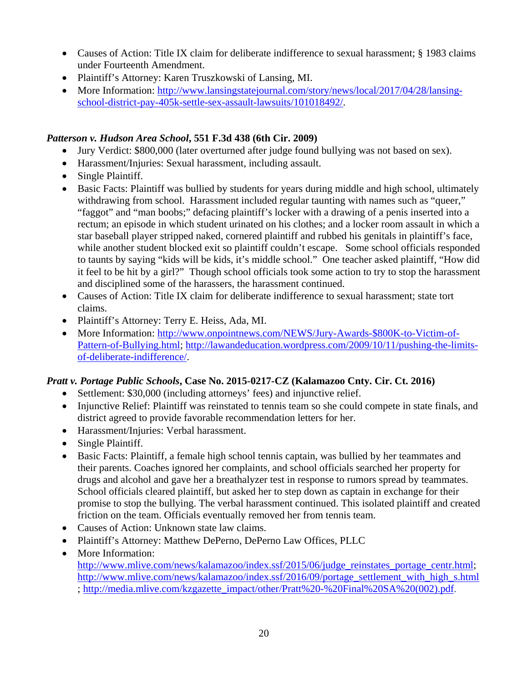- Causes of Action: Title IX claim for deliberate indifference to sexual harassment; § 1983 claims under Fourteenth Amendment.
- Plaintiff's Attorney: Karen Truszkowski of Lansing, MI.
- More Information: http://www.lansingstatejournal.com/story/news/local/2017/04/28/lansingschool-district-pay-405k-settle-sex-assault-lawsuits/101018492/.

## *Patterson v. Hudson Area School***, 551 F.3d 438 (6th Cir. 2009)**

- Jury Verdict: \$800,000 (later overturned after judge found bullying was not based on sex).
- Harassment/Injuries: Sexual harassment, including assault.
- Single Plaintiff.
- Basic Facts: Plaintiff was bullied by students for years during middle and high school, ultimately withdrawing from school. Harassment included regular taunting with names such as "queer," "faggot" and "man boobs;" defacing plaintiff's locker with a drawing of a penis inserted into a rectum; an episode in which student urinated on his clothes; and a locker room assault in which a star baseball player stripped naked, cornered plaintiff and rubbed his genitals in plaintiff's face, while another student blocked exit so plaintiff couldn't escape. Some school officials responded to taunts by saying "kids will be kids, it's middle school." One teacher asked plaintiff, "How did it feel to be hit by a girl?" Though school officials took some action to try to stop the harassment and disciplined some of the harassers, the harassment continued.
- Causes of Action: Title IX claim for deliberate indifference to sexual harassment; state tort claims.
- Plaintiff's Attorney: Terry E. Heiss, Ada, MI.
- More Information: http://www.onpointnews.com/NEWS/Jury-Awards-\$800K-to-Victim-of-Pattern-of-Bullying.html; http://lawandeducation.wordpress.com/2009/10/11/pushing-the-limitsof-deliberate-indifference/.

## *Pratt v. Portage Public Schools***, Case No. 2015-0217-CZ (Kalamazoo Cnty. Cir. Ct. 2016)**

- Settlement: \$30,000 (including attorneys' fees) and injunctive relief.
- Injunctive Relief: Plaintiff was reinstated to tennis team so she could compete in state finals, and district agreed to provide favorable recommendation letters for her.
- Harassment/Injuries: Verbal harassment.
- Single Plaintiff.
- Basic Facts: Plaintiff, a female high school tennis captain, was bullied by her teammates and their parents. Coaches ignored her complaints, and school officials searched her property for drugs and alcohol and gave her a breathalyzer test in response to rumors spread by teammates. School officials cleared plaintiff, but asked her to step down as captain in exchange for their promise to stop the bullying. The verbal harassment continued. This isolated plaintiff and created friction on the team. Officials eventually removed her from tennis team.
- Causes of Action: Unknown state law claims.
- Plaintiff's Attorney: Matthew DePerno, DePerno Law Offices, PLLC
- More Information: http://www.mlive.com/news/kalamazoo/index.ssf/2015/06/judge\_reinstates\_portage\_centr.html; http://www.mlive.com/news/kalamazoo/index.ssf/2016/09/portage\_settlement\_with\_high\_s.html ; http://media.mlive.com/kzgazette\_impact/other/Pratt%20-%20Final%20SA%20(002).pdf.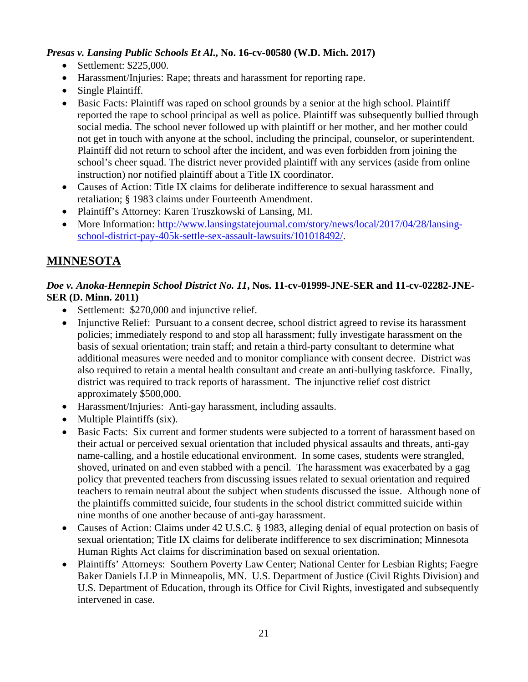#### *Presas v. Lansing Public Schools Et Al***., No. 16-cv-00580 (W.D. Mich. 2017)**

- Settlement: \$225,000.
- Harassment/Injuries: Rape; threats and harassment for reporting rape.
- Single Plaintiff.
- Basic Facts: Plaintiff was raped on school grounds by a senior at the high school. Plaintiff reported the rape to school principal as well as police. Plaintiff was subsequently bullied through social media. The school never followed up with plaintiff or her mother, and her mother could not get in touch with anyone at the school, including the principal, counselor, or superintendent. Plaintiff did not return to school after the incident, and was even forbidden from joining the school's cheer squad. The district never provided plaintiff with any services (aside from online instruction) nor notified plaintiff about a Title IX coordinator.
- Causes of Action: Title IX claims for deliberate indifference to sexual harassment and retaliation; § 1983 claims under Fourteenth Amendment.
- Plaintiff's Attorney: Karen Truszkowski of Lansing, MI.
- More Information: http://www.lansingstatejournal.com/story/news/local/2017/04/28/lansingschool-district-pay-405k-settle-sex-assault-lawsuits/101018492/.

## **MINNESOTA**

#### *Doe v. Anoka-Hennepin School District No. 11***, Nos. 11-cv-01999-JNE-SER and 11-cv-02282-JNE-SER (D. Minn. 2011)**

- Settlement: \$270,000 and injunctive relief.
- Injunctive Relief: Pursuant to a consent decree, school district agreed to revise its harassment policies; immediately respond to and stop all harassment; fully investigate harassment on the basis of sexual orientation; train staff; and retain a third-party consultant to determine what additional measures were needed and to monitor compliance with consent decree. District was also required to retain a mental health consultant and create an anti-bullying taskforce. Finally, district was required to track reports of harassment. The injunctive relief cost district approximately \$500,000.
- Harassment/Injuries: Anti-gay harassment, including assaults.
- Multiple Plaintiffs (six).
- Basic Facts: Six current and former students were subjected to a torrent of harassment based on their actual or perceived sexual orientation that included physical assaults and threats, anti-gay name-calling, and a hostile educational environment. In some cases, students were strangled, shoved, urinated on and even stabbed with a pencil. The harassment was exacerbated by a gag policy that prevented teachers from discussing issues related to sexual orientation and required teachers to remain neutral about the subject when students discussed the issue. Although none of the plaintiffs committed suicide, four students in the school district committed suicide within nine months of one another because of anti-gay harassment.
- Causes of Action: Claims under 42 U.S.C. § 1983, alleging denial of equal protection on basis of sexual orientation; Title IX claims for deliberate indifference to sex discrimination; Minnesota Human Rights Act claims for discrimination based on sexual orientation.
- Plaintiffs' Attorneys: Southern Poverty Law Center; National Center for Lesbian Rights; Faegre Baker Daniels LLP in Minneapolis, MN. U.S. Department of Justice (Civil Rights Division) and U.S. Department of Education, through its Office for Civil Rights, investigated and subsequently intervened in case.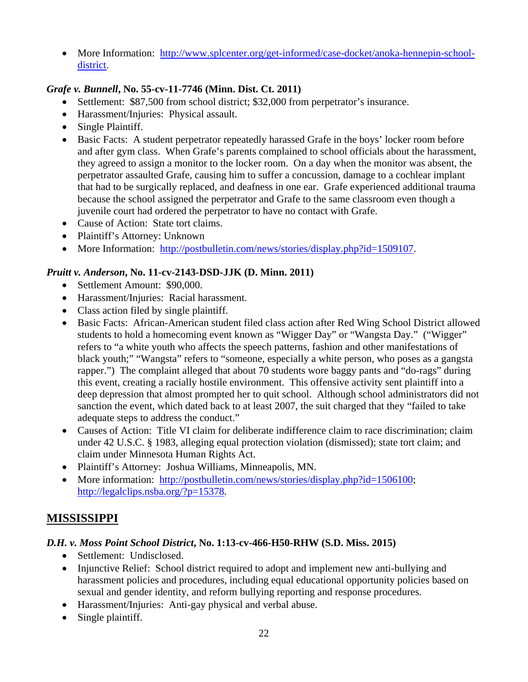• More Information: http://www.splcenter.org/get-informed/case-docket/anoka-hennepin-schooldistrict.

### *Grafe v. Bunnell***, No. 55-cv-11-7746 (Minn. Dist. Ct. 2011)**

- Settlement: \$87,500 from school district; \$32,000 from perpetrator's insurance.
- Harassment/Injuries: Physical assault.
- Single Plaintiff.
- Basic Facts: A student perpetrator repeatedly harassed Grafe in the boys' locker room before and after gym class. When Grafe's parents complained to school officials about the harassment, they agreed to assign a monitor to the locker room. On a day when the monitor was absent, the perpetrator assaulted Grafe, causing him to suffer a concussion, damage to a cochlear implant that had to be surgically replaced, and deafness in one ear. Grafe experienced additional trauma because the school assigned the perpetrator and Grafe to the same classroom even though a juvenile court had ordered the perpetrator to have no contact with Grafe.
- Cause of Action: State tort claims.
- Plaintiff's Attorney: Unknown
- More Information: http://postbulletin.com/news/stories/display.php?id=1509107.

#### *Pruitt v. Anderson***, No. 11-cv-2143-DSD-JJK (D. Minn. 2011)**

- Settlement Amount: \$90,000.
- Harassment/Injuries: Racial harassment.
- Class action filed by single plaintiff.
- Basic Facts: African-American student filed class action after Red Wing School District allowed students to hold a homecoming event known as "Wigger Day" or "Wangsta Day." ("Wigger" refers to "a white youth who affects the speech patterns, fashion and other manifestations of black youth;" "Wangsta" refers to "someone, especially a white person, who poses as a gangsta rapper.") The complaint alleged that about 70 students wore baggy pants and "do-rags" during this event, creating a racially hostile environment. This offensive activity sent plaintiff into a deep depression that almost prompted her to quit school. Although school administrators did not sanction the event, which dated back to at least 2007, the suit charged that they "failed to take adequate steps to address the conduct."
- Causes of Action: Title VI claim for deliberate indifference claim to race discrimination; claim under 42 U.S.C. § 1983, alleging equal protection violation (dismissed); state tort claim; and claim under Minnesota Human Rights Act.
- Plaintiff's Attorney: Joshua Williams, Minneapolis, MN.
- More information: http://postbulletin.com/news/stories/display.php?id=1506100; http://legalclips.nsba.org/?p=15378.

## **MISSISSIPPI**

#### *D.H. v. Moss Point School District***, No. 1:13-cv-466-H50-RHW (S.D. Miss. 2015)**

- Settlement: Undisclosed.
- Injunctive Relief: School district required to adopt and implement new anti-bullying and harassment policies and procedures, including equal educational opportunity policies based on sexual and gender identity, and reform bullying reporting and response procedures.
- Harassment/Injuries: Anti-gay physical and verbal abuse.
- Single plaintiff.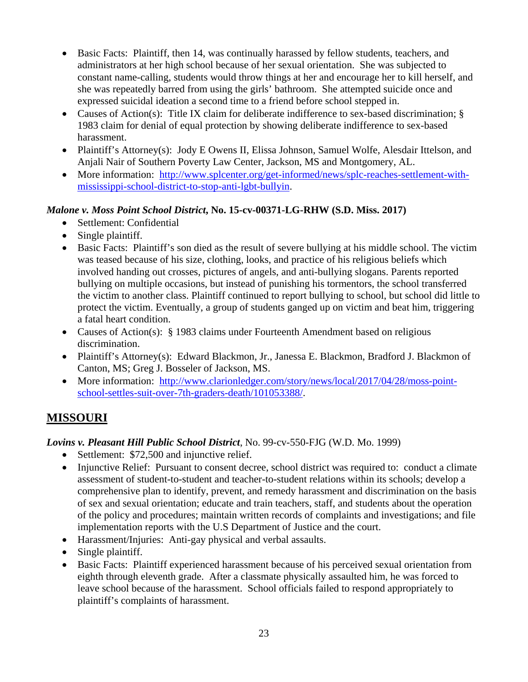- Basic Facts: Plaintiff, then 14, was continually harassed by fellow students, teachers, and administrators at her high school because of her sexual orientation. She was subjected to constant name-calling, students would throw things at her and encourage her to kill herself, and she was repeatedly barred from using the girls' bathroom. She attempted suicide once and expressed suicidal ideation a second time to a friend before school stepped in.
- Causes of Action(s): Title IX claim for deliberate indifference to sex-based discrimination; § 1983 claim for denial of equal protection by showing deliberate indifference to sex-based harassment.
- Plaintiff's Attorney(s): Jody E Owens II, Elissa Johnson, Samuel Wolfe, Alesdair Ittelson, and Anjali Nair of Southern Poverty Law Center, Jackson, MS and Montgomery, AL.
- More information: http://www.splcenter.org/get-informed/news/splc-reaches-settlement-withmississippi-school-district-to-stop-anti-lgbt-bullyin.

#### *Malone v. Moss Point School District***, No. 15-cv-00371-LG-RHW (S.D. Miss. 2017)**

- Settlement: Confidential
- Single plaintiff.
- Basic Facts: Plaintiff's son died as the result of severe bullying at his middle school. The victim was teased because of his size, clothing, looks, and practice of his religious beliefs which involved handing out crosses, pictures of angels, and anti-bullying slogans. Parents reported bullying on multiple occasions, but instead of punishing his tormentors, the school transferred the victim to another class. Plaintiff continued to report bullying to school, but school did little to protect the victim. Eventually, a group of students ganged up on victim and beat him, triggering a fatal heart condition.
- Causes of Action(s): § 1983 claims under Fourteenth Amendment based on religious discrimination.
- Plaintiff's Attorney(s): Edward Blackmon, Jr., Janessa E. Blackmon, Bradford J. Blackmon of Canton, MS; Greg J. Bosseler of Jackson, MS.
- More information: http://www.clarionledger.com/story/news/local/2017/04/28/moss-pointschool-settles-suit-over-7th-graders-death/101053388/.

## **MISSOURI**

## *Lovins v. Pleasant Hill Public School District*, No. 99-cv-550-FJG (W.D. Mo. 1999)

- Settlement: \$72,500 and injunctive relief.
- Injunctive Relief: Pursuant to consent decree, school district was required to: conduct a climate assessment of student-to-student and teacher-to-student relations within its schools; develop a comprehensive plan to identify, prevent, and remedy harassment and discrimination on the basis of sex and sexual orientation; educate and train teachers, staff, and students about the operation of the policy and procedures; maintain written records of complaints and investigations; and file implementation reports with the U.S Department of Justice and the court.
- Harassment/Injuries: Anti-gay physical and verbal assaults.
- Single plaintiff.
- Basic Facts: Plaintiff experienced harassment because of his perceived sexual orientation from eighth through eleventh grade. After a classmate physically assaulted him, he was forced to leave school because of the harassment. School officials failed to respond appropriately to plaintiff's complaints of harassment.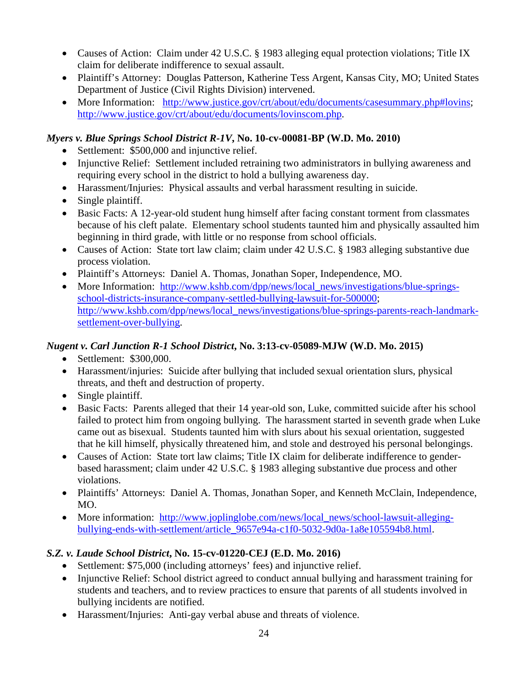- Causes of Action: Claim under 42 U.S.C. § 1983 alleging equal protection violations; Title IX claim for deliberate indifference to sexual assault.
- Plaintiff's Attorney: Douglas Patterson, Katherine Tess Argent, Kansas City, MO; United States Department of Justice (Civil Rights Division) intervened.
- More Information: http://www.justice.gov/crt/about/edu/documents/casesummary.php#lovins; http://www.justice.gov/crt/about/edu/documents/lovinscom.php.

#### *Myers v. Blue Springs School District R-1V***, No. 10-cv-00081-BP (W.D. Mo. 2010)**

- Settlement: \$500,000 and injunctive relief.
- Injunctive Relief: Settlement included retraining two administrators in bullying awareness and requiring every school in the district to hold a bullying awareness day.
- Harassment/Injuries: Physical assaults and verbal harassment resulting in suicide.
- Single plaintiff.
- Basic Facts: A 12-year-old student hung himself after facing constant torment from classmates because of his cleft palate. Elementary school students taunted him and physically assaulted him beginning in third grade, with little or no response from school officials.
- Causes of Action: State tort law claim; claim under 42 U.S.C. § 1983 alleging substantive due process violation.
- Plaintiff's Attorneys: Daniel A. Thomas, Jonathan Soper, Independence, MO.
- More Information: http://www.kshb.com/dpp/news/local\_news/investigations/blue-springsschool-districts-insurance-company-settled-bullying-lawsuit-for-500000; http://www.kshb.com/dpp/news/local\_news/investigations/blue-springs-parents-reach-landmarksettlement-over-bullying.

### *Nugent v. Carl Junction R-1 School District***, No. 3:13-cv-05089-MJW (W.D. Mo. 2015)**

- Settlement: \$300,000.
- Harassment/injuries: Suicide after bullying that included sexual orientation slurs, physical threats, and theft and destruction of property.
- Single plaintiff.
- Basic Facts: Parents alleged that their 14 year-old son, Luke, committed suicide after his school failed to protect him from ongoing bullying. The harassment started in seventh grade when Luke came out as bisexual. Students taunted him with slurs about his sexual orientation, suggested that he kill himself, physically threatened him, and stole and destroyed his personal belongings.
- Causes of Action: State tort law claims; Title IX claim for deliberate indifference to genderbased harassment; claim under 42 U.S.C. § 1983 alleging substantive due process and other violations.
- Plaintiffs' Attorneys: Daniel A. Thomas, Jonathan Soper, and Kenneth McClain, Independence, MO.
- More information: http://www.joplinglobe.com/news/local\_news/school-lawsuit-allegingbullying-ends-with-settlement/article\_9657e94a-c1f0-5032-9d0a-1a8e105594b8.html.

## *S.Z. v. Laude School District***, No. 15-cv-01220-CEJ (E.D. Mo. 2016)**

- Settlement: \$75,000 (including attorneys' fees) and injunctive relief.
- Injunctive Relief: School district agreed to conduct annual bullying and harassment training for students and teachers, and to review practices to ensure that parents of all students involved in bullying incidents are notified.
- Harassment/Injuries: Anti-gay verbal abuse and threats of violence.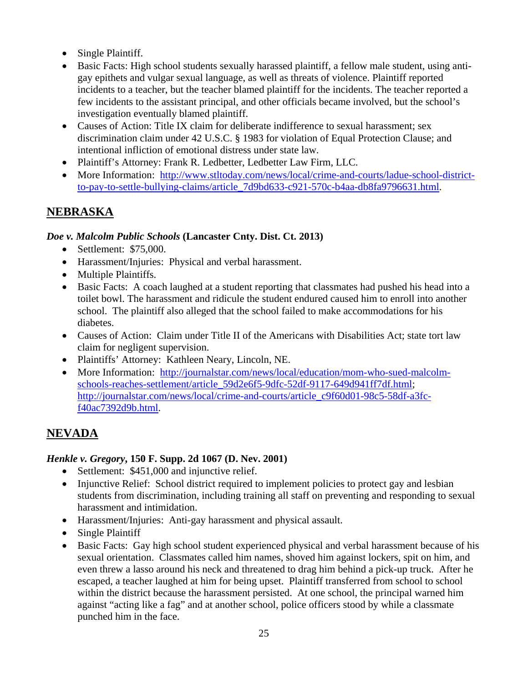- Single Plaintiff.
- Basic Facts: High school students sexually harassed plaintiff, a fellow male student, using antigay epithets and vulgar sexual language, as well as threats of violence. Plaintiff reported incidents to a teacher, but the teacher blamed plaintiff for the incidents. The teacher reported a few incidents to the assistant principal, and other officials became involved, but the school's investigation eventually blamed plaintiff.
- Causes of Action: Title IX claim for deliberate indifference to sexual harassment; sex discrimination claim under 42 U.S.C. § 1983 for violation of Equal Protection Clause; and intentional infliction of emotional distress under state law.
- Plaintiff's Attorney: Frank R. Ledbetter, Ledbetter Law Firm, LLC.
- More Information: http://www.stltoday.com/news/local/crime-and-courts/ladue-school-districtto-pay-to-settle-bullying-claims/article\_7d9bd633-c921-570c-b4aa-db8fa9796631.html.

## **NEBRASKA**

#### *Doe v. Malcolm Public Schools* **(Lancaster Cnty. Dist. Ct. 2013)**

- Settlement: \$75,000.
- Harassment/Injuries: Physical and verbal harassment.
- Multiple Plaintiffs.
- Basic Facts: A coach laughed at a student reporting that classmates had pushed his head into a toilet bowl. The harassment and ridicule the student endured caused him to enroll into another school. The plaintiff also alleged that the school failed to make accommodations for his diabetes.
- Causes of Action: Claim under Title II of the Americans with Disabilities Act; state tort law claim for negligent supervision.
- Plaintiffs' Attorney: Kathleen Neary, Lincoln, NE.
- More Information: http://journalstar.com/news/local/education/mom-who-sued-malcolmschools-reaches-settlement/article\_59d2e6f5-9dfc-52df-9117-649d941ff7df.html; http://journalstar.com/news/local/crime-and-courts/article\_c9f60d01-98c5-58df-a3fcf40ac7392d9b.html.

## **NEVADA**

#### *Henkle v. Gregory***, 150 F. Supp. 2d 1067 (D. Nev. 2001)**

- Settlement: \$451,000 and injunctive relief.
- Injunctive Relief: School district required to implement policies to protect gay and lesbian students from discrimination, including training all staff on preventing and responding to sexual harassment and intimidation.
- Harassment/Injuries: Anti-gay harassment and physical assault.
- Single Plaintiff
- Basic Facts: Gay high school student experienced physical and verbal harassment because of his sexual orientation. Classmates called him names, shoved him against lockers, spit on him, and even threw a lasso around his neck and threatened to drag him behind a pick-up truck. After he escaped, a teacher laughed at him for being upset. Plaintiff transferred from school to school within the district because the harassment persisted. At one school, the principal warned him against "acting like a fag" and at another school, police officers stood by while a classmate punched him in the face.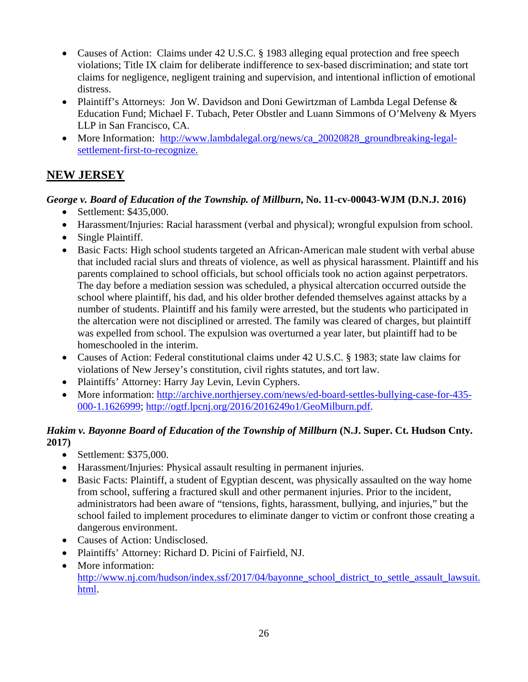- Causes of Action: Claims under 42 U.S.C. § 1983 alleging equal protection and free speech violations; Title IX claim for deliberate indifference to sex-based discrimination; and state tort claims for negligence, negligent training and supervision, and intentional infliction of emotional distress.
- Plaintiff's Attorneys: Jon W. Davidson and Doni Gewirtzman of Lambda Legal Defense & Education Fund; Michael F. Tubach, Peter Obstler and Luann Simmons of O'Melveny & Myers LLP in San Francisco, CA.
- More Information: http://www.lambdalegal.org/news/ca\_20020828\_groundbreaking-legalsettlement-first-to-recognize.

# **NEW JERSEY**

## *George v. Board of Education of the Township. of Millburn***, No. 11-cv-00043-WJM (D.N.J. 2016)**

- Settlement: \$435,000.
- Harassment/Injuries: Racial harassment (verbal and physical); wrongful expulsion from school.
- Single Plaintiff.
- Basic Facts: High school students targeted an African-American male student with verbal abuse that included racial slurs and threats of violence, as well as physical harassment. Plaintiff and his parents complained to school officials, but school officials took no action against perpetrators. The day before a mediation session was scheduled, a physical altercation occurred outside the school where plaintiff, his dad, and his older brother defended themselves against attacks by a number of students. Plaintiff and his family were arrested, but the students who participated in the altercation were not disciplined or arrested. The family was cleared of charges, but plaintiff was expelled from school. The expulsion was overturned a year later, but plaintiff had to be homeschooled in the interim.
- Causes of Action: Federal constitutional claims under 42 U.S.C. § 1983; state law claims for violations of New Jersey's constitution, civil rights statutes, and tort law.
- Plaintiffs' Attorney: Harry Jay Levin, Levin Cyphers.
- More information: http://archive.northjersey.com/news/ed-board-settles-bullying-case-for-435-000-1.1626999; http://ogtf.lpcnj.org/2016/2016249o1/GeoMilburn.pdf.

## *Hakim v. Bayonne Board of Education of the Township of Millburn* **(N.J. Super. Ct. Hudson Cnty. 2017)**

- Settlement: \$375,000.
- Harassment/Injuries: Physical assault resulting in permanent injuries.
- Basic Facts: Plaintiff, a student of Egyptian descent, was physically assaulted on the way home from school, suffering a fractured skull and other permanent injuries. Prior to the incident, administrators had been aware of "tensions, fights, harassment, bullying, and injuries," but the school failed to implement procedures to eliminate danger to victim or confront those creating a dangerous environment.
- Causes of Action: Undisclosed.
- Plaintiffs' Attorney: Richard D. Picini of Fairfield, NJ.
- More information: http://www.nj.com/hudson/index.ssf/2017/04/bayonne\_school\_district\_to\_settle\_assault\_lawsuit. html.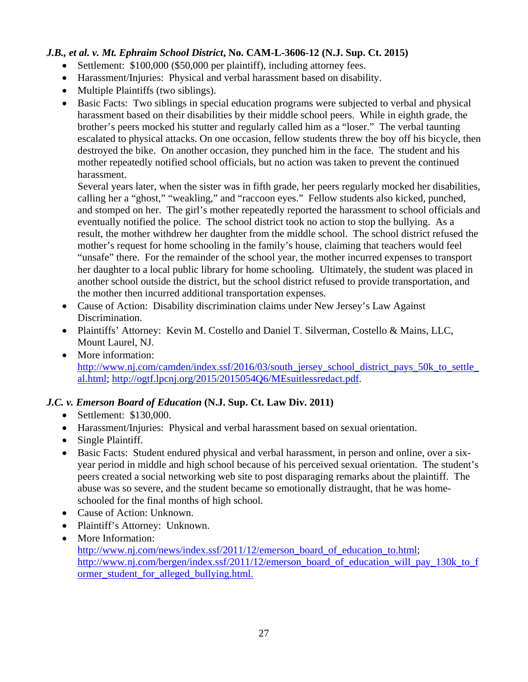### *J.B., et al. v. Mt. Ephraim School District***, No. CAM-L-3606-12 (N.J. Sup. Ct. 2015)**

- Settlement: \$100,000 (\$50,000 per plaintiff), including attorney fees.
- Harassment/Injuries: Physical and verbal harassment based on disability.
- Multiple Plaintiffs (two siblings).
- Basic Facts: Two siblings in special education programs were subjected to verbal and physical harassment based on their disabilities by their middle school peers. While in eighth grade, the brother's peers mocked his stutter and regularly called him as a "loser." The verbal taunting escalated to physical attacks. On one occasion, fellow students threw the boy off his bicycle, then destroyed the bike. On another occasion, they punched him in the face. The student and his mother repeatedly notified school officials, but no action was taken to prevent the continued harassment.

Several years later, when the sister was in fifth grade, her peers regularly mocked her disabilities, calling her a "ghost," "weakling," and "raccoon eyes." Fellow students also kicked, punched, and stomped on her. The girl's mother repeatedly reported the harassment to school officials and eventually notified the police. The school district took no action to stop the bullying. As a result, the mother withdrew her daughter from the middle school. The school district refused the mother's request for home schooling in the family's house, claiming that teachers would feel "unsafe" there. For the remainder of the school year, the mother incurred expenses to transport her daughter to a local public library for home schooling. Ultimately, the student was placed in another school outside the district, but the school district refused to provide transportation, and the mother then incurred additional transportation expenses.

- Cause of Action: Disability discrimination claims under New Jersey's Law Against Discrimination.
- Plaintiffs' Attorney: Kevin M. Costello and Daniel T. Silverman, Costello & Mains, LLC, Mount Laurel, NJ.
- More information: http://www.nj.com/camden/index.ssf/2016/03/south\_jersey\_school\_district\_pays\_50k\_to\_settle\_ al.html; http://ogtf.lpcnj.org/2015/2015054Q6/MEsuitlessredact.pdf.

#### *J.C. v. Emerson Board of Education* **(N.J. Sup. Ct. Law Div. 2011)**

- Settlement: \$130,000.
- Harassment/Injuries: Physical and verbal harassment based on sexual orientation.
- Single Plaintiff.
- Basic Facts: Student endured physical and verbal harassment, in person and online, over a sixyear period in middle and high school because of his perceived sexual orientation. The student's peers created a social networking web site to post disparaging remarks about the plaintiff. The abuse was so severe, and the student became so emotionally distraught, that he was homeschooled for the final months of high school.
- Cause of Action: Unknown.
- Plaintiff's Attorney: Unknown.
- More Information: http://www.nj.com/news/index.ssf/2011/12/emerson\_board\_of\_education\_to.html; http://www.nj.com/bergen/index.ssf/2011/12/emerson\_board\_of\_education\_will\_pay\_130k\_to\_f ormer student for alleged bullying.html.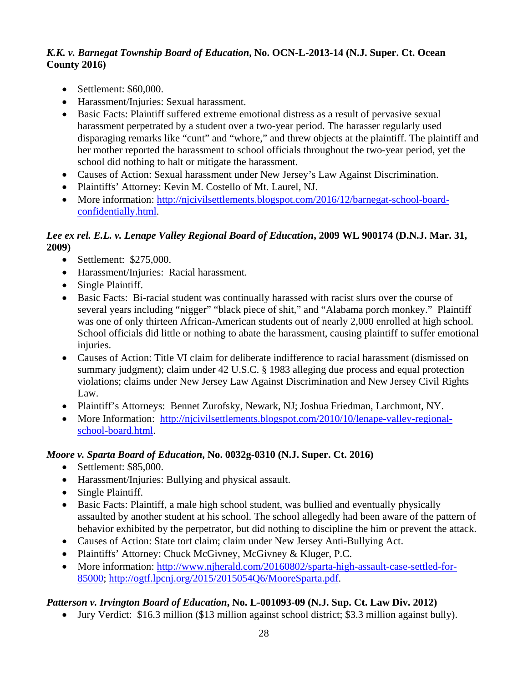#### *K.K. v. Barnegat Township Board of Education***, No. OCN-L-2013-14 (N.J. Super. Ct. Ocean County 2016)**

- Settlement: \$60,000.
- Harassment/Injuries: Sexual harassment.
- Basic Facts: Plaintiff suffered extreme emotional distress as a result of pervasive sexual harassment perpetrated by a student over a two-year period. The harasser regularly used disparaging remarks like "cunt" and "whore," and threw objects at the plaintiff. The plaintiff and her mother reported the harassment to school officials throughout the two-year period, yet the school did nothing to halt or mitigate the harassment.
- Causes of Action: Sexual harassment under New Jersey's Law Against Discrimination.
- Plaintiffs' Attorney: Kevin M. Costello of Mt. Laurel, NJ.
- More information: http://njcivilsettlements.blogspot.com/2016/12/barnegat-school-boardconfidentially.html.

#### *Lee ex rel. E.L. v. Lenape Valley Regional Board of Education***, 2009 WL 900174 (D.N.J. Mar. 31, 2009)**

- Settlement: \$275,000.
- Harassment/Injuries: Racial harassment.
- Single Plaintiff.
- Basic Facts: Bi-racial student was continually harassed with racist slurs over the course of several years including "nigger" "black piece of shit," and "Alabama porch monkey." Plaintiff was one of only thirteen African-American students out of nearly 2,000 enrolled at high school. School officials did little or nothing to abate the harassment, causing plaintiff to suffer emotional injuries.
- Causes of Action: Title VI claim for deliberate indifference to racial harassment (dismissed on summary judgment); claim under 42 U.S.C. § 1983 alleging due process and equal protection violations; claims under New Jersey Law Against Discrimination and New Jersey Civil Rights Law.
- Plaintiff's Attorneys: Bennet Zurofsky, Newark, NJ; Joshua Friedman, Larchmont, NY.
- More Information: http://njcivilsettlements.blogspot.com/2010/10/lenape-valley-regionalschool-board.html.

## *Moore v. Sparta Board of Education***, No. 0032g-0310 (N.J. Super. Ct. 2016)**

- Settlement: \$85,000.
- Harassment/Injuries: Bullying and physical assault.
- Single Plaintiff.
- Basic Facts: Plaintiff, a male high school student, was bullied and eventually physically assaulted by another student at his school. The school allegedly had been aware of the pattern of behavior exhibited by the perpetrator, but did nothing to discipline the him or prevent the attack.
- Causes of Action: State tort claim; claim under New Jersey Anti-Bullying Act.
- Plaintiffs' Attorney: Chuck McGivney, McGivney & Kluger, P.C.
- More information: http://www.njherald.com/20160802/sparta-high-assault-case-settled-for-85000; http://ogtf.lpcnj.org/2015/2015054Q6/MooreSparta.pdf.

## *Patterson v. Irvington Board of Education***, No. L-001093-09 (N.J. Sup. Ct. Law Div. 2012)**

Jury Verdict: \$16.3 million (\$13 million against school district; \$3.3 million against bully).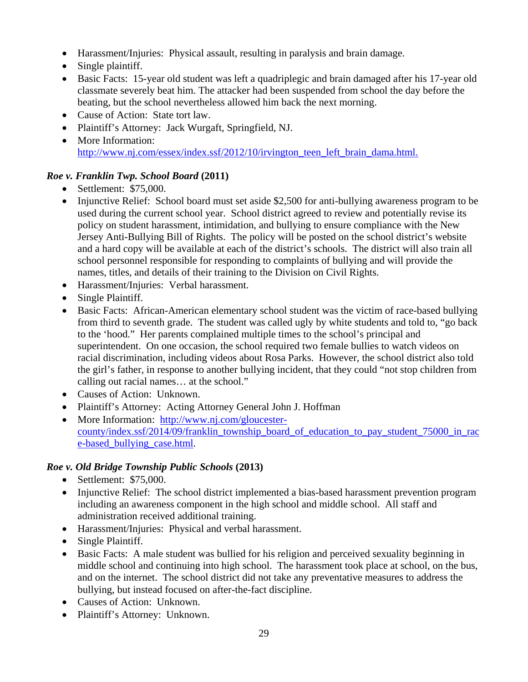- Harassment/Injuries: Physical assault, resulting in paralysis and brain damage.
- Single plaintiff.
- Basic Facts: 15-year old student was left a quadriplegic and brain damaged after his 17-year old classmate severely beat him. The attacker had been suspended from school the day before the beating, but the school nevertheless allowed him back the next morning.
- Cause of Action: State tort law.
- Plaintiff's Attorney: Jack Wurgaft, Springfield, NJ.
- More Information: http://www.nj.com/essex/index.ssf/2012/10/irvington\_teen\_left\_brain\_dama.html.

## *Roe v. Franklin Twp. School Board* **(2011)**

- $\bullet$  Settlement: \$75,000.
- Injunctive Relief: School board must set aside \$2,500 for anti-bullying awareness program to be used during the current school year. School district agreed to review and potentially revise its policy on student harassment, intimidation, and bullying to ensure compliance with the New Jersey Anti-Bullying Bill of Rights. The policy will be posted on the school district's website and a hard copy will be available at each of the district's schools. The district will also train all school personnel responsible for responding to complaints of bullying and will provide the names, titles, and details of their training to the Division on Civil Rights.
- Harassment/Injuries: Verbal harassment.
- Single Plaintiff.
- Basic Facts: African-American elementary school student was the victim of race-based bullying from third to seventh grade. The student was called ugly by white students and told to, "go back to the 'hood." Her parents complained multiple times to the school's principal and superintendent. On one occasion, the school required two female bullies to watch videos on racial discrimination, including videos about Rosa Parks. However, the school district also told the girl's father, in response to another bullying incident, that they could "not stop children from calling out racial names… at the school."
- Causes of Action: Unknown.
- Plaintiff's Attorney: Acting Attorney General John J. Hoffman
- More Information: http://www.nj.com/gloucestercounty/index.ssf/2014/09/franklin township\_board\_of\_education\_to\_pay\_student\_75000\_in\_rac e-based\_bullying\_case.html.

## *Roe v. Old Bridge Township Public Schools* **(2013)**

- $\bullet$  Settlement: \$75,000.
- Injunctive Relief: The school district implemented a bias-based harassment prevention program including an awareness component in the high school and middle school. All staff and administration received additional training.
- Harassment/Injuries: Physical and verbal harassment.
- Single Plaintiff.
- Basic Facts: A male student was bullied for his religion and perceived sexuality beginning in middle school and continuing into high school. The harassment took place at school, on the bus, and on the internet. The school district did not take any preventative measures to address the bullying, but instead focused on after-the-fact discipline.
- Causes of Action: Unknown.
- Plaintiff's Attorney: Unknown.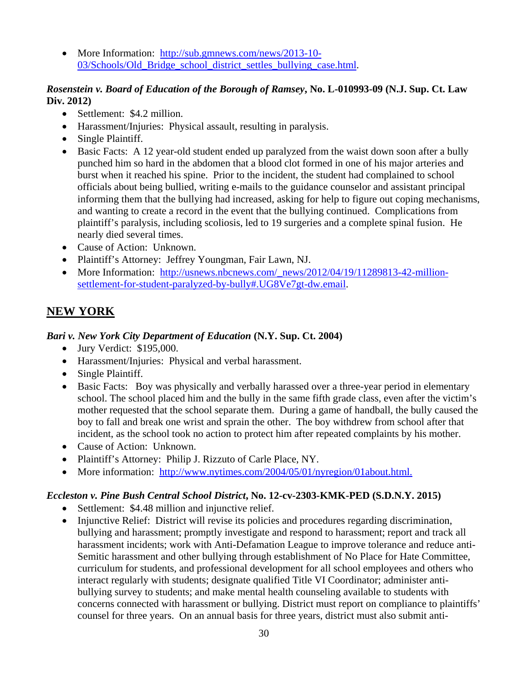• More Information: http://sub.gmnews.com/news/2013-10-03/Schools/Old\_Bridge\_school\_district\_settles\_bullying\_case.html.

#### *Rosenstein v. Board of Education of the Borough of Ramsey***, No. L-010993-09 (N.J. Sup. Ct. Law Div. 2012)**

- Settlement: \$4.2 million.
- Harassment/Injuries: Physical assault, resulting in paralysis.
- Single Plaintiff.
- Basic Facts: A 12 year-old student ended up paralyzed from the waist down soon after a bully punched him so hard in the abdomen that a blood clot formed in one of his major arteries and burst when it reached his spine. Prior to the incident, the student had complained to school officials about being bullied, writing e-mails to the guidance counselor and assistant principal informing them that the bullying had increased, asking for help to figure out coping mechanisms, and wanting to create a record in the event that the bullying continued. Complications from plaintiff's paralysis, including scoliosis, led to 19 surgeries and a complete spinal fusion. He nearly died several times.
- Cause of Action: Unknown.
- Plaintiff's Attorney: Jeffrey Youngman, Fair Lawn, NJ.
- More Information: http://usnews.nbcnews.com/\_news/2012/04/19/11289813-42-millionsettlement-for-student-paralyzed-by-bully#.UG8Ve7gt-dw.email.

## **NEW YORK**

#### *Bari v. New York City Department of Education* **(N.Y. Sup. Ct. 2004)**

- Jury Verdict: \$195,000.
- Harassment/Injuries: Physical and verbal harassment.
- Single Plaintiff.
- Basic Facts: Boy was physically and verbally harassed over a three-year period in elementary school. The school placed him and the bully in the same fifth grade class, even after the victim's mother requested that the school separate them. During a game of handball, the bully caused the boy to fall and break one wrist and sprain the other. The boy withdrew from school after that incident, as the school took no action to protect him after repeated complaints by his mother.
- Cause of Action: Unknown.
- Plaintiff's Attorney: Philip J. Rizzuto of Carle Place, NY.
- More information: http://www.nytimes.com/2004/05/01/nyregion/01about.html.

#### *Eccleston v. Pine Bush Central School District***, No. 12-cv-2303-KMK-PED (S.D.N.Y. 2015)**

- Settlement: \$4.48 million and injunctive relief.
- Injunctive Relief: District will revise its policies and procedures regarding discrimination, bullying and harassment; promptly investigate and respond to harassment; report and track all harassment incidents; work with Anti-Defamation League to improve tolerance and reduce anti-Semitic harassment and other bullying through establishment of No Place for Hate Committee, curriculum for students, and professional development for all school employees and others who interact regularly with students; designate qualified Title VI Coordinator; administer antibullying survey to students; and make mental health counseling available to students with concerns connected with harassment or bullying. District must report on compliance to plaintiffs' counsel for three years. On an annual basis for three years, district must also submit anti-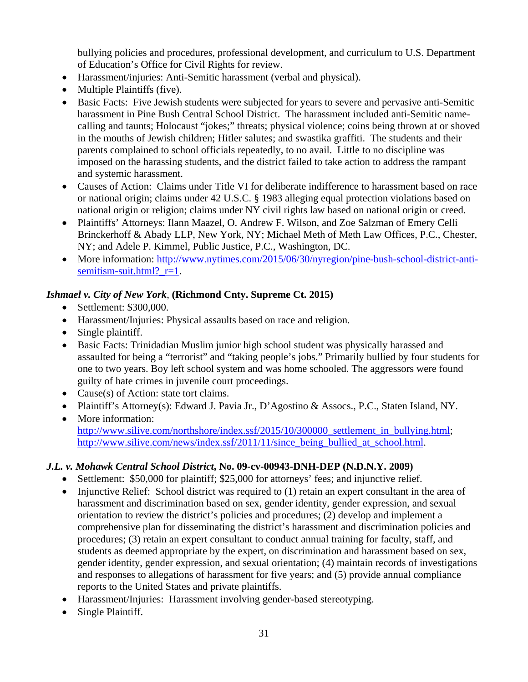bullying policies and procedures, professional development, and curriculum to U.S. Department of Education's Office for Civil Rights for review.

- Harassment/injuries: Anti-Semitic harassment (verbal and physical).
- Multiple Plaintiffs (five).
- Basic Facts: Five Jewish students were subjected for years to severe and pervasive anti-Semitic harassment in Pine Bush Central School District. The harassment included anti-Semitic namecalling and taunts; Holocaust "jokes;" threats; physical violence; coins being thrown at or shoved in the mouths of Jewish children; Hitler salutes; and swastika graffiti. The students and their parents complained to school officials repeatedly, to no avail. Little to no discipline was imposed on the harassing students, and the district failed to take action to address the rampant and systemic harassment.
- Causes of Action: Claims under Title VI for deliberate indifference to harassment based on race or national origin; claims under 42 U.S.C. § 1983 alleging equal protection violations based on national origin or religion; claims under NY civil rights law based on national origin or creed.
- Plaintiffs' Attorneys: Ilann Maazel, O. Andrew F. Wilson, and Zoe Salzman of Emery Celli Brinckerhoff & Abady LLP, New York, NY; Michael Meth of Meth Law Offices, P.C., Chester, NY; and Adele P. Kimmel, Public Justice, P.C., Washington, DC.
- More information: http://www.nytimes.com/2015/06/30/nyregion/pine-bush-school-district-antisemitism-suit.html? r=1.

## *Ishmael v. City of New York*, **(Richmond Cnty. Supreme Ct. 2015)**

- Settlement: \$300,000.
- Harassment/Injuries: Physical assaults based on race and religion.
- Single plaintiff.
- Basic Facts: Trinidadian Muslim junior high school student was physically harassed and assaulted for being a "terrorist" and "taking people's jobs." Primarily bullied by four students for one to two years. Boy left school system and was home schooled. The aggressors were found guilty of hate crimes in juvenile court proceedings.
- Cause(s) of Action: state tort claims.
- Plaintiff's Attorney(s): Edward J. Pavia Jr., D'Agostino & Assocs., P.C., Staten Island, NY.
- More information: http://www.silive.com/northshore/index.ssf/2015/10/300000\_settlement\_in\_bullying.html; http://www.silive.com/news/index.ssf/2011/11/since\_being\_bullied\_at\_school.html.

## *J.L. v. Mohawk Central School District***, No. 09-cv-00943-DNH-DEP (N.D.N.Y. 2009)**

- Settlement: \$50,000 for plaintiff; \$25,000 for attorneys' fees; and injunctive relief.
- $\bullet$  Injunctive Relief: School district was required to (1) retain an expert consultant in the area of harassment and discrimination based on sex, gender identity, gender expression, and sexual orientation to review the district's policies and procedures; (2) develop and implement a comprehensive plan for disseminating the district's harassment and discrimination policies and procedures; (3) retain an expert consultant to conduct annual training for faculty, staff, and students as deemed appropriate by the expert, on discrimination and harassment based on sex, gender identity, gender expression, and sexual orientation; (4) maintain records of investigations and responses to allegations of harassment for five years; and (5) provide annual compliance reports to the United States and private plaintiffs.
- Harassment/Injuries: Harassment involving gender-based stereotyping.
- Single Plaintiff.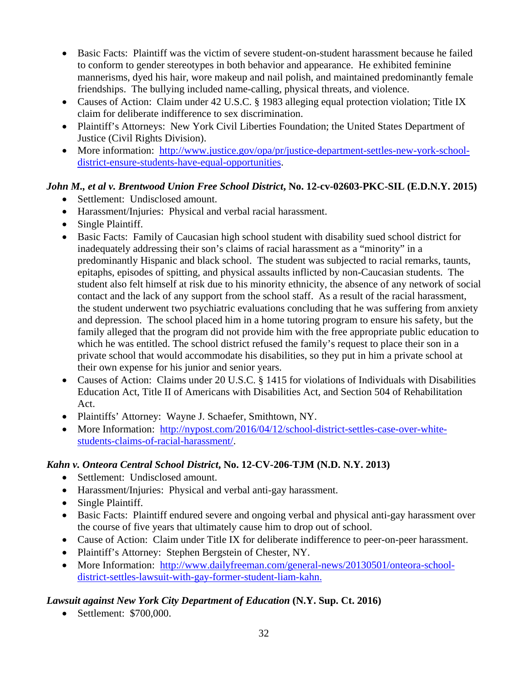- Basic Facts: Plaintiff was the victim of severe student-on-student harassment because he failed to conform to gender stereotypes in both behavior and appearance. He exhibited feminine mannerisms, dyed his hair, wore makeup and nail polish, and maintained predominantly female friendships. The bullying included name-calling, physical threats, and violence.
- Causes of Action: Claim under 42 U.S.C. § 1983 alleging equal protection violation; Title IX claim for deliberate indifference to sex discrimination.
- Plaintiff's Attorneys: New York Civil Liberties Foundation; the United States Department of Justice (Civil Rights Division).
- More information: http://www.justice.gov/opa/pr/justice-department-settles-new-york-schooldistrict-ensure-students-have-equal-opportunities.

## *John M., et al v. Brentwood Union Free School District***, No. 12-cv-02603-PKC-SIL (E.D.N.Y. 2015)**

- Settlement: Undisclosed amount.
- Harassment/Injuries: Physical and verbal racial harassment.
- Single Plaintiff.
- Basic Facts: Family of Caucasian high school student with disability sued school district for inadequately addressing their son's claims of racial harassment as a "minority" in a predominantly Hispanic and black school. The student was subjected to racial remarks, taunts, epitaphs, episodes of spitting, and physical assaults inflicted by non-Caucasian students. The student also felt himself at risk due to his minority ethnicity, the absence of any network of social contact and the lack of any support from the school staff. As a result of the racial harassment, the student underwent two psychiatric evaluations concluding that he was suffering from anxiety and depression. The school placed him in a home tutoring program to ensure his safety, but the family alleged that the program did not provide him with the free appropriate public education to which he was entitled. The school district refused the family's request to place their son in a private school that would accommodate his disabilities, so they put in him a private school at their own expense for his junior and senior years.
- Causes of Action: Claims under 20 U.S.C. § 1415 for violations of Individuals with Disabilities Education Act, Title II of Americans with Disabilities Act, and Section 504 of Rehabilitation Act.
- Plaintiffs' Attorney: Wayne J. Schaefer, Smithtown, NY.
- More Information: http://nypost.com/2016/04/12/school-district-settles-case-over-whitestudents-claims-of-racial-harassment/.

## *Kahn v. Onteora Central School District***, No. 12-CV-206-TJM (N.D. N.Y. 2013)**

- Settlement: Undisclosed amount.
- Harassment/Injuries: Physical and verbal anti-gay harassment.
- Single Plaintiff.
- Basic Facts: Plaintiff endured severe and ongoing verbal and physical anti-gay harassment over the course of five years that ultimately cause him to drop out of school.
- Cause of Action: Claim under Title IX for deliberate indifference to peer-on-peer harassment.
- Plaintiff's Attorney: Stephen Bergstein of Chester, NY.
- More Information: http://www.dailyfreeman.com/general-news/20130501/onteora-schooldistrict-settles-lawsuit-with-gay-former-student-liam-kahn.

## *Lawsuit against New York City Department of Education* **(N.Y. Sup. Ct. 2016)**

• Settlement: \$700,000.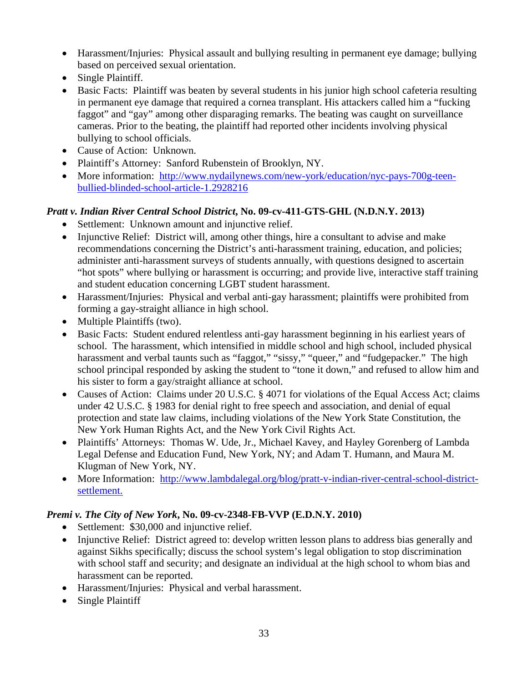- Harassment/Injuries: Physical assault and bullying resulting in permanent eye damage; bullying based on perceived sexual orientation.
- Single Plaintiff.
- Basic Facts: Plaintiff was beaten by several students in his junior high school cafeteria resulting in permanent eye damage that required a cornea transplant. His attackers called him a "fucking faggot" and "gay" among other disparaging remarks. The beating was caught on surveillance cameras. Prior to the beating, the plaintiff had reported other incidents involving physical bullying to school officials.
- Cause of Action: Unknown.
- Plaintiff's Attorney: Sanford Rubenstein of Brooklyn, NY.
- More information: http://www.nydailynews.com/new-york/education/nyc-pays-700g-teenbullied-blinded-school-article-1.2928216

## *Pratt v. Indian River Central School District***, No. 09-cv-411-GTS-GHL (N.D.N.Y. 2013)**

- Settlement: Unknown amount and injunctive relief.
- Injunctive Relief: District will, among other things, hire a consultant to advise and make recommendations concerning the District's anti-harassment training, education, and policies; administer anti-harassment surveys of students annually, with questions designed to ascertain "hot spots" where bullying or harassment is occurring; and provide live, interactive staff training and student education concerning LGBT student harassment.
- Harassment/Injuries: Physical and verbal anti-gay harassment; plaintiffs were prohibited from forming a gay-straight alliance in high school.
- Multiple Plaintiffs (two).
- Basic Facts: Student endured relentless anti-gay harassment beginning in his earliest years of school. The harassment, which intensified in middle school and high school, included physical harassment and verbal taunts such as "faggot," "sissy," "queer," and "fudgepacker." The high school principal responded by asking the student to "tone it down," and refused to allow him and his sister to form a gay/straight alliance at school.
- Causes of Action: Claims under 20 U.S.C. § 4071 for violations of the Equal Access Act; claims under 42 U.S.C. § 1983 for denial right to free speech and association, and denial of equal protection and state law claims, including violations of the New York State Constitution, the New York Human Rights Act, and the New York Civil Rights Act.
- Plaintiffs' Attorneys: Thomas W. Ude, Jr., Michael Kavey, and Hayley Gorenberg of Lambda Legal Defense and Education Fund, New York, NY; and Adam T. Humann, and Maura M. Klugman of New York, NY.
- More Information: http://www.lambdalegal.org/blog/pratt-v-indian-river-central-school-districtsettlement.

## *Premi v. The City of New York***, No. 09-cv-2348-FB-VVP (E.D.N.Y. 2010)**

- Settlement: \$30,000 and injunctive relief.
- Injunctive Relief: District agreed to: develop written lesson plans to address bias generally and against Sikhs specifically; discuss the school system's legal obligation to stop discrimination with school staff and security; and designate an individual at the high school to whom bias and harassment can be reported.
- Harassment/Injuries: Physical and verbal harassment.
- Single Plaintiff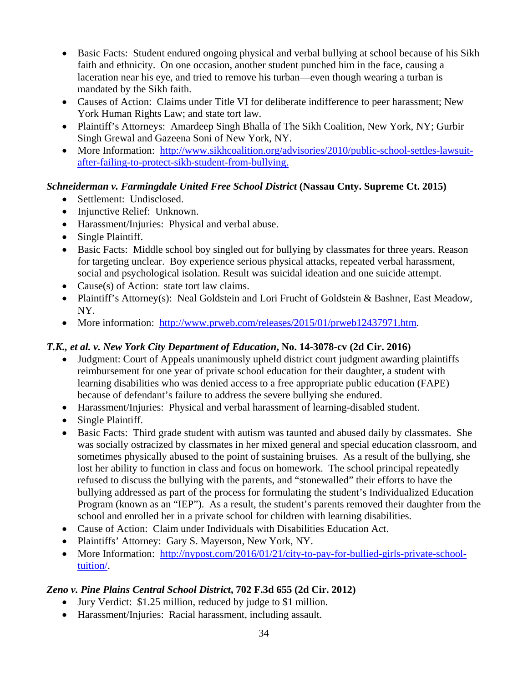- Basic Facts: Student endured ongoing physical and verbal bullying at school because of his Sikh faith and ethnicity. On one occasion, another student punched him in the face, causing a laceration near his eye, and tried to remove his turban—even though wearing a turban is mandated by the Sikh faith.
- Causes of Action: Claims under Title VI for deliberate indifference to peer harassment; New York Human Rights Law; and state tort law.
- Plaintiff's Attorneys: Amardeep Singh Bhalla of The Sikh Coalition, New York, NY; Gurbir Singh Grewal and Gazeena Soni of New York, NY.
- More Information: http://www.sikhcoalition.org/advisories/2010/public-school-settles-lawsuitafter-failing-to-protect-sikh-student-from-bullying.

## *Schneiderman v. Farmingdale United Free School District* **(Nassau Cnty. Supreme Ct. 2015)**

- Settlement: Undisclosed.
- Injunctive Relief: Unknown.
- Harassment/Injuries: Physical and verbal abuse.
- Single Plaintiff.
- Basic Facts: Middle school boy singled out for bullying by classmates for three years. Reason for targeting unclear. Boy experience serious physical attacks, repeated verbal harassment, social and psychological isolation. Result was suicidal ideation and one suicide attempt.
- Cause(s) of Action: state tort law claims.
- Plaintiff's Attorney(s): Neal Goldstein and Lori Frucht of Goldstein & Bashner, East Meadow, NY.
- More information: http://www.prweb.com/releases/2015/01/prweb12437971.htm.

## *T.K., et al. v. New York City Department of Education***, No. 14-3078-cv (2d Cir. 2016)**

- Judgment: Court of Appeals unanimously upheld district court judgment awarding plaintiffs reimbursement for one year of private school education for their daughter, a student with learning disabilities who was denied access to a free appropriate public education (FAPE) because of defendant's failure to address the severe bullying she endured.
- Harassment/Injuries: Physical and verbal harassment of learning-disabled student.
- Single Plaintiff.
- Basic Facts: Third grade student with autism was taunted and abused daily by classmates. She was socially ostracized by classmates in her mixed general and special education classroom, and sometimes physically abused to the point of sustaining bruises. As a result of the bullying, she lost her ability to function in class and focus on homework. The school principal repeatedly refused to discuss the bullying with the parents, and "stonewalled" their efforts to have the bullying addressed as part of the process for formulating the student's Individualized Education Program (known as an "IEP"). As a result, the student's parents removed their daughter from the school and enrolled her in a private school for children with learning disabilities.
- Cause of Action: Claim under Individuals with Disabilities Education Act.
- Plaintiffs' Attorney: Gary S. Mayerson, New York, NY.
- More Information: http://nypost.com/2016/01/21/city-to-pay-for-bullied-girls-private-schooltuition/.

## *Zeno v. Pine Plains Central School District***, 702 F.3d 655 (2d Cir. 2012)**

- Jury Verdict: \$1.25 million, reduced by judge to \$1 million.
- Harassment/Injuries: Racial harassment, including assault.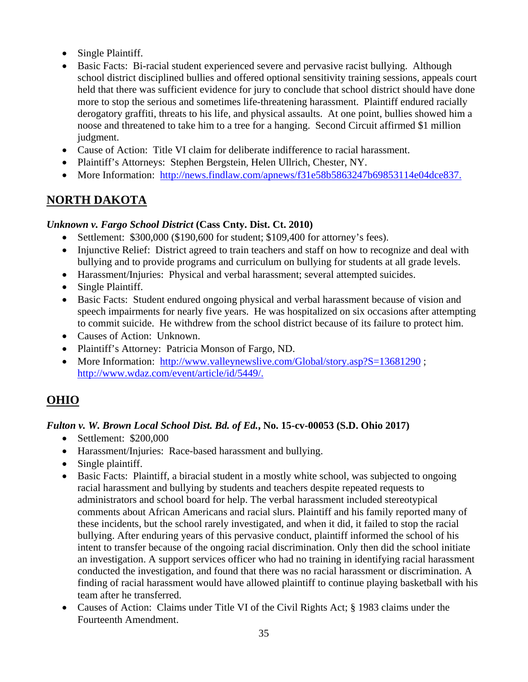- Single Plaintiff.
- Basic Facts: Bi-racial student experienced severe and pervasive racist bullying. Although school district disciplined bullies and offered optional sensitivity training sessions, appeals court held that there was sufficient evidence for jury to conclude that school district should have done more to stop the serious and sometimes life-threatening harassment. Plaintiff endured racially derogatory graffiti, threats to his life, and physical assaults. At one point, bullies showed him a noose and threatened to take him to a tree for a hanging. Second Circuit affirmed \$1 million judgment.
- Cause of Action: Title VI claim for deliberate indifference to racial harassment.
- Plaintiff's Attorneys: Stephen Bergstein, Helen Ullrich, Chester, NY.
- More Information: http://news.findlaw.com/apnews/f31e58b5863247b69853114e04dce837.

## **NORTH DAKOTA**

#### *Unknown v. Fargo School District* **(Cass Cnty. Dist. Ct. 2010)**

- Settlement: \$300,000 (\$190,600 for student; \$109,400 for attorney's fees).
- Injunctive Relief: District agreed to train teachers and staff on how to recognize and deal with bullying and to provide programs and curriculum on bullying for students at all grade levels.
- Harassment/Injuries: Physical and verbal harassment; several attempted suicides.
- Single Plaintiff.
- Basic Facts: Student endured ongoing physical and verbal harassment because of vision and speech impairments for nearly five years. He was hospitalized on six occasions after attempting to commit suicide. He withdrew from the school district because of its failure to protect him.
- Causes of Action: Unknown.
- Plaintiff's Attorney: Patricia Monson of Fargo, ND.
- More Information: http://www.valleynewslive.com/Global/story.asp?S=13681290 ; http://www.wdaz.com/event/article/id/5449/.

## **OHIO**

#### *Fulton v. W. Brown Local School Dist. Bd. of Ed.***, No. 15-cv-00053 (S.D. Ohio 2017)**

- Settlement: \$200,000
- Harassment/Injuries: Race-based harassment and bullying.
- Single plaintiff.
- Basic Facts: Plaintiff, a biracial student in a mostly white school, was subjected to ongoing racial harassment and bullying by students and teachers despite repeated requests to administrators and school board for help. The verbal harassment included stereotypical comments about African Americans and racial slurs. Plaintiff and his family reported many of these incidents, but the school rarely investigated, and when it did, it failed to stop the racial bullying. After enduring years of this pervasive conduct, plaintiff informed the school of his intent to transfer because of the ongoing racial discrimination. Only then did the school initiate an investigation. A support services officer who had no training in identifying racial harassment conducted the investigation, and found that there was no racial harassment or discrimination. A finding of racial harassment would have allowed plaintiff to continue playing basketball with his team after he transferred.
- Causes of Action: Claims under Title VI of the Civil Rights Act; § 1983 claims under the Fourteenth Amendment.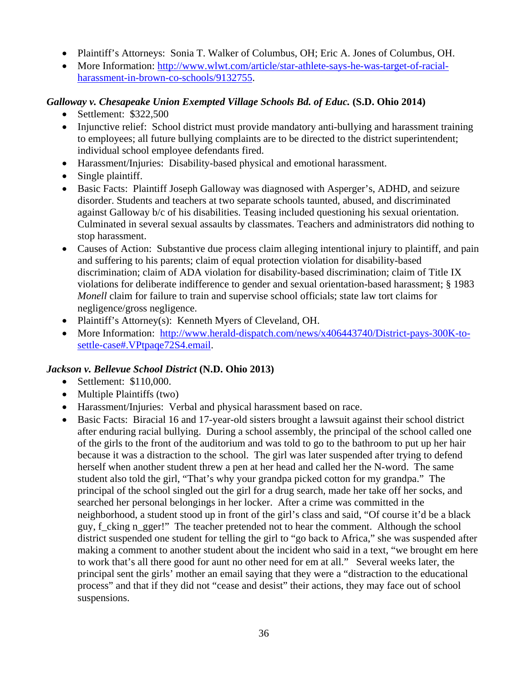- Plaintiff's Attorneys: Sonia T. Walker of Columbus, OH; Eric A. Jones of Columbus, OH.
- More Information: http://www.wlwt.com/article/star-athlete-says-he-was-target-of-racialharassment-in-brown-co-schools/9132755.

#### *Galloway v. Chesapeake Union Exempted Village Schools Bd. of Educ.* **(S.D. Ohio 2014)**

- Settlement: \$322,500
- Injunctive relief: School district must provide mandatory anti-bullying and harassment training to employees; all future bullying complaints are to be directed to the district superintendent; individual school employee defendants fired.
- Harassment/Injuries: Disability-based physical and emotional harassment.
- Single plaintiff.
- Basic Facts: Plaintiff Joseph Galloway was diagnosed with Asperger's, ADHD, and seizure disorder. Students and teachers at two separate schools taunted, abused, and discriminated against Galloway b/c of his disabilities. Teasing included questioning his sexual orientation. Culminated in several sexual assaults by classmates. Teachers and administrators did nothing to stop harassment.
- Causes of Action: Substantive due process claim alleging intentional injury to plaintiff, and pain and suffering to his parents; claim of equal protection violation for disability-based discrimination; claim of ADA violation for disability-based discrimination; claim of Title IX violations for deliberate indifference to gender and sexual orientation-based harassment; § 1983 *Monell* claim for failure to train and supervise school officials; state law tort claims for negligence/gross negligence.
- Plaintiff's Attorney(s): Kenneth Myers of Cleveland, OH.
- More Information: http://www.herald-dispatch.com/news/x406443740/District-pays-300K-tosettle-case#.VPtpaqe72S4.email.

#### *Jackson v. Bellevue School District* **(N.D. Ohio 2013)**

- Settlement: \$110,000.
- Multiple Plaintiffs (two)
- Harassment/Injuries: Verbal and physical harassment based on race.
- Basic Facts: Biracial 16 and 17-year-old sisters brought a lawsuit against their school district after enduring racial bullying. During a school assembly, the principal of the school called one of the girls to the front of the auditorium and was told to go to the bathroom to put up her hair because it was a distraction to the school. The girl was later suspended after trying to defend herself when another student threw a pen at her head and called her the N-word. The same student also told the girl, "That's why your grandpa picked cotton for my grandpa." The principal of the school singled out the girl for a drug search, made her take off her socks, and searched her personal belongings in her locker. After a crime was committed in the neighborhood, a student stood up in front of the girl's class and said, "Of course it'd be a black guy, f\_cking n\_gger!" The teacher pretended not to hear the comment. Although the school district suspended one student for telling the girl to "go back to Africa," she was suspended after making a comment to another student about the incident who said in a text, "we brought em here to work that's all there good for aunt no other need for em at all." Several weeks later, the principal sent the girls' mother an email saying that they were a "distraction to the educational process" and that if they did not "cease and desist" their actions, they may face out of school suspensions.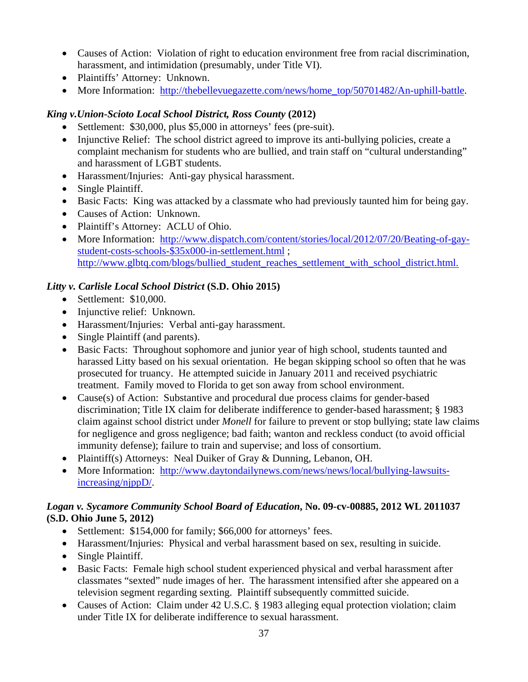- Causes of Action: Violation of right to education environment free from racial discrimination, harassment, and intimidation (presumably, under Title VI).
- Plaintiffs' Attorney: Unknown.
- More Information: http://thebellevuegazette.com/news/home\_top/50701482/An-uphill-battle.

#### *King v.Union-Scioto Local School District, Ross County* **(2012)**

- Settlement: \$30,000, plus \$5,000 in attorneys' fees (pre-suit).
- Injunctive Relief: The school district agreed to improve its anti-bullying policies, create a complaint mechanism for students who are bullied, and train staff on "cultural understanding" and harassment of LGBT students.
- Harassment/Injuries: Anti-gay physical harassment.
- Single Plaintiff.
- Basic Facts: King was attacked by a classmate who had previously taunted him for being gay.
- Causes of Action: Unknown.
- Plaintiff's Attorney: ACLU of Ohio.
- More Information: http://www.dispatch.com/content/stories/local/2012/07/20/Beating-of-gaystudent-costs-schools-\$35x000-in-settlement.html ; http://www.glbtq.com/blogs/bullied\_student\_reaches\_settlement\_with\_school\_district.html.

#### *Litty v. Carlisle Local School District* **(S.D. Ohio 2015)**

- Settlement: \$10,000.
- Injunctive relief: Unknown.
- Harassment/Injuries: Verbal anti-gay harassment.
- Single Plaintiff (and parents).
- Basic Facts: Throughout sophomore and junior year of high school, students taunted and harassed Litty based on his sexual orientation. He began skipping school so often that he was prosecuted for truancy. He attempted suicide in January 2011 and received psychiatric treatment. Family moved to Florida to get son away from school environment.
- Cause(s) of Action: Substantive and procedural due process claims for gender-based discrimination; Title IX claim for deliberate indifference to gender-based harassment; § 1983 claim against school district under *Monell* for failure to prevent or stop bullying; state law claims for negligence and gross negligence; bad faith; wanton and reckless conduct (to avoid official immunity defense); failure to train and supervise; and loss of consortium.
- Plaintiff(s) Attorneys: Neal Duiker of Gray & Dunning, Lebanon, OH.
- More Information: http://www.daytondailynews.com/news/news/local/bullying-lawsuitsincreasing/njppD/.

#### *Logan v. Sycamore Community School Board of Education***, No. 09-cv-00885, 2012 WL 2011037 (S.D. Ohio June 5, 2012)**

- Settlement: \$154,000 for family; \$66,000 for attorneys' fees.
- Harassment/Injuries: Physical and verbal harassment based on sex, resulting in suicide.
- Single Plaintiff.
- Basic Facts: Female high school student experienced physical and verbal harassment after classmates "sexted" nude images of her. The harassment intensified after she appeared on a television segment regarding sexting. Plaintiff subsequently committed suicide.
- Causes of Action: Claim under 42 U.S.C. § 1983 alleging equal protection violation; claim under Title IX for deliberate indifference to sexual harassment.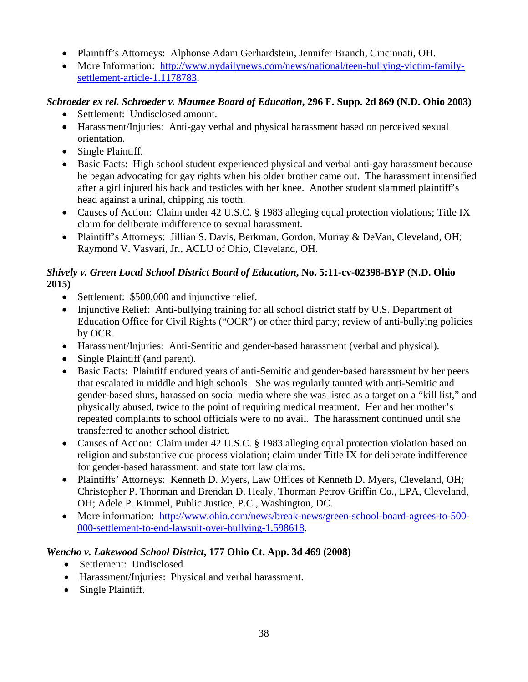- Plaintiff's Attorneys: Alphonse Adam Gerhardstein, Jennifer Branch, Cincinnati, OH.
- More Information: http://www.nydailynews.com/news/national/teen-bullying-victim-familysettlement-article-1.1178783.

## *Schroeder ex rel. Schroeder v. Maumee Board of Education***, 296 F. Supp. 2d 869 (N.D. Ohio 2003)**

- Settlement: Undisclosed amount.
- Harassment/Injuries: Anti-gay verbal and physical harassment based on perceived sexual orientation.
- Single Plaintiff.
- Basic Facts: High school student experienced physical and verbal anti-gay harassment because he began advocating for gay rights when his older brother came out. The harassment intensified after a girl injured his back and testicles with her knee. Another student slammed plaintiff's head against a urinal, chipping his tooth.
- Causes of Action: Claim under 42 U.S.C. § 1983 alleging equal protection violations; Title IX claim for deliberate indifference to sexual harassment.
- Plaintiff's Attorneys: Jillian S. Davis, Berkman, Gordon, Murray & DeVan, Cleveland, OH; Raymond V. Vasvari, Jr., ACLU of Ohio, Cleveland, OH.

## *Shively v. Green Local School District Board of Education***, No. 5:11-cv-02398-BYP (N.D. Ohio 2015)**

- Settlement: \$500,000 and injunctive relief.
- Injunctive Relief: Anti-bullying training for all school district staff by U.S. Department of Education Office for Civil Rights ("OCR") or other third party; review of anti-bullying policies by OCR.
- Harassment/Injuries: Anti-Semitic and gender-based harassment (verbal and physical).
- Single Plaintiff (and parent).
- Basic Facts: Plaintiff endured years of anti-Semitic and gender-based harassment by her peers that escalated in middle and high schools. She was regularly taunted with anti-Semitic and gender-based slurs, harassed on social media where she was listed as a target on a "kill list," and physically abused, twice to the point of requiring medical treatment. Her and her mother's repeated complaints to school officials were to no avail. The harassment continued until she transferred to another school district.
- Causes of Action: Claim under 42 U.S.C. § 1983 alleging equal protection violation based on religion and substantive due process violation; claim under Title IX for deliberate indifference for gender-based harassment; and state tort law claims.
- Plaintiffs' Attorneys: Kenneth D. Myers, Law Offices of Kenneth D. Myers, Cleveland, OH; Christopher P. Thorman and Brendan D. Healy, Thorman Petrov Griffin Co., LPA, Cleveland, OH; Adele P. Kimmel, Public Justice, P.C., Washington, DC.
- More information: http://www.ohio.com/news/break-news/green-school-board-agrees-to-500-000-settlement-to-end-lawsuit-over-bullying-1.598618.

## *Wencho v. Lakewood School District***, 177 Ohio Ct. App. 3d 469 (2008)**

- Settlement: Undisclosed
- Harassment/Injuries: Physical and verbal harassment.
- Single Plaintiff.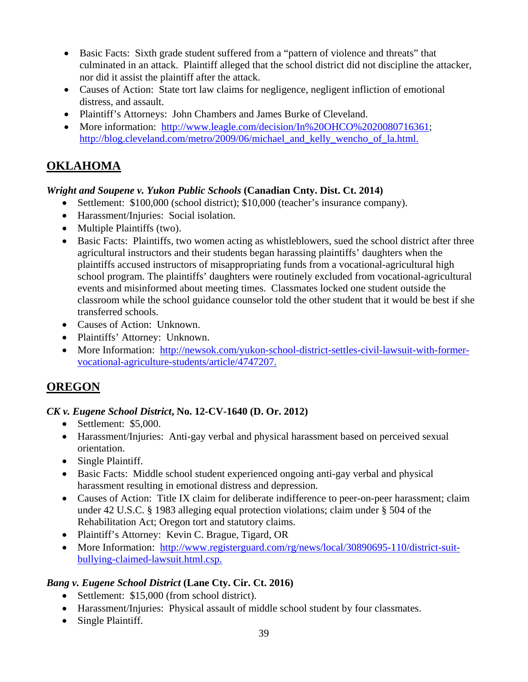- Basic Facts: Sixth grade student suffered from a "pattern of violence and threats" that culminated in an attack. Plaintiff alleged that the school district did not discipline the attacker, nor did it assist the plaintiff after the attack.
- Causes of Action: State tort law claims for negligence, negligent infliction of emotional distress, and assault.
- Plaintiff's Attorneys: John Chambers and James Burke of Cleveland.
- More information: http://www.leagle.com/decision/In%20OHCO%2020080716361; http://blog.cleveland.com/metro/2009/06/michael\_and\_kelly\_wencho\_of\_la.html.

## **OKLAHOMA**

#### *Wright and Soupene v. Yukon Public Schools* **(Canadian Cnty. Dist. Ct. 2014)**

- Settlement: \$100,000 (school district); \$10,000 (teacher's insurance company).
- Harassment/Injuries: Social isolation.
- Multiple Plaintiffs (two).
- Basic Facts: Plaintiffs, two women acting as whistleblowers, sued the school district after three agricultural instructors and their students began harassing plaintiffs' daughters when the plaintiffs accused instructors of misappropriating funds from a vocational-agricultural high school program. The plaintiffs' daughters were routinely excluded from vocational-agricultural events and misinformed about meeting times. Classmates locked one student outside the classroom while the school guidance counselor told the other student that it would be best if she transferred schools.
- Causes of Action: Unknown.
- Plaintiffs' Attorney: Unknown.
- More Information: http://newsok.com/yukon-school-district-settles-civil-lawsuit-with-formervocational-agriculture-students/article/4747207.

## **OREGON**

#### *CK v. Eugene School District***, No. 12-CV-1640 (D. Or. 2012)**

- Settlement: \$5,000.
- Harassment/Injuries: Anti-gay verbal and physical harassment based on perceived sexual orientation.
- Single Plaintiff.
- Basic Facts: Middle school student experienced ongoing anti-gay verbal and physical harassment resulting in emotional distress and depression.
- Causes of Action: Title IX claim for deliberate indifference to peer-on-peer harassment; claim under 42 U.S.C. § 1983 alleging equal protection violations; claim under § 504 of the Rehabilitation Act; Oregon tort and statutory claims.
- Plaintiff's Attorney: Kevin C. Brague, Tigard, OR
- More Information: http://www.registerguard.com/rg/news/local/30890695-110/district-suitbullying-claimed-lawsuit.html.csp.

#### *Bang v. Eugene School District* **(Lane Cty. Cir. Ct. 2016)**

- Settlement: \$15,000 (from school district).
- Harassment/Injuries: Physical assault of middle school student by four classmates.
- Single Plaintiff.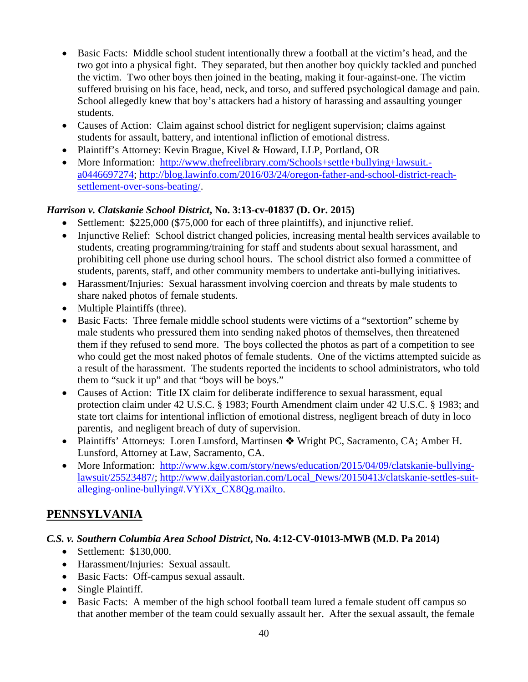- Basic Facts: Middle school student intentionally threw a football at the victim's head, and the two got into a physical fight. They separated, but then another boy quickly tackled and punched the victim. Two other boys then joined in the beating, making it four-against-one. The victim suffered bruising on his face, head, neck, and torso, and suffered psychological damage and pain. School allegedly knew that boy's attackers had a history of harassing and assaulting younger students.
- Causes of Action: Claim against school district for negligent supervision; claims against students for assault, battery, and intentional infliction of emotional distress.
- Plaintiff's Attorney: Kevin Brague, Kivel & Howard, LLP, Portland, OR
- More Information: http://www.thefreelibrary.com/Schools+settle+bullying+lawsuit.a0446697274; http://blog.lawinfo.com/2016/03/24/oregon-father-and-school-district-reachsettlement-over-sons-beating/.

#### *Harrison v. Clatskanie School District***, No. 3:13-cv-01837 (D. Or. 2015)**

- Settlement: \$225,000 (\$75,000 for each of three plaintiffs), and injunctive relief.
- Injunctive Relief: School district changed policies, increasing mental health services available to students, creating programming/training for staff and students about sexual harassment, and prohibiting cell phone use during school hours. The school district also formed a committee of students, parents, staff, and other community members to undertake anti-bullying initiatives.
- Harassment/Injuries: Sexual harassment involving coercion and threats by male students to share naked photos of female students.
- Multiple Plaintiffs (three).
- Basic Facts: Three female middle school students were victims of a "sextortion" scheme by male students who pressured them into sending naked photos of themselves, then threatened them if they refused to send more. The boys collected the photos as part of a competition to see who could get the most naked photos of female students. One of the victims attempted suicide as a result of the harassment. The students reported the incidents to school administrators, who told them to "suck it up" and that "boys will be boys."
- Causes of Action: Title IX claim for deliberate indifference to sexual harassment, equal protection claim under 42 U.S.C. § 1983; Fourth Amendment claim under 42 U.S.C. § 1983; and state tort claims for intentional infliction of emotional distress, negligent breach of duty in loco parentis, and negligent breach of duty of supervision.
- Plaintiffs' Attorneys: Loren Lunsford, Martinsen  $*$  Wright PC, Sacramento, CA; Amber H. Lunsford, Attorney at Law, Sacramento, CA.
- More Information: http://www.kgw.com/story/news/education/2015/04/09/clatskanie-bullyinglawsuit/25523487/; http://www.dailyastorian.com/Local\_News/20150413/clatskanie-settles-suitalleging-online-bullying#.VYiXx\_CX8Qg.mailto.

## **PENNSYLVANIA**

#### *C.S. v. Southern Columbia Area School District***, No. 4:12-CV-01013-MWB (M.D. Pa 2014)**

- Settlement: \$130,000.
- Harassment/Injuries: Sexual assault.
- Basic Facts: Off-campus sexual assault.
- Single Plaintiff.
- Basic Facts: A member of the high school football team lured a female student off campus so that another member of the team could sexually assault her. After the sexual assault, the female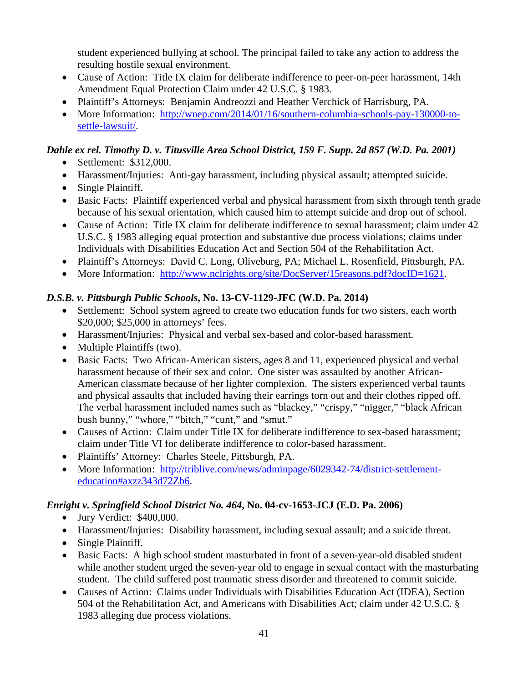student experienced bullying at school. The principal failed to take any action to address the resulting hostile sexual environment.

- Cause of Action: Title IX claim for deliberate indifference to peer-on-peer harassment, 14th Amendment Equal Protection Claim under 42 U.S.C. § 1983.
- Plaintiff's Attorneys: Benjamin Andreozzi and Heather Verchick of Harrisburg, PA.
- More Information: http://wnep.com/2014/01/16/southern-columbia-schools-pay-130000-tosettle-lawsuit/.

## *Dahle ex rel. Timothy D. v. Titusville Area School District, 159 F. Supp. 2d 857 (W.D. Pa. 2001)*

- Settlement: \$312,000.
- Harassment/Injuries: Anti-gay harassment, including physical assault; attempted suicide.
- Single Plaintiff.
- Basic Facts: Plaintiff experienced verbal and physical harassment from sixth through tenth grade because of his sexual orientation, which caused him to attempt suicide and drop out of school.
- Cause of Action: Title IX claim for deliberate indifference to sexual harassment; claim under 42 U.S.C. § 1983 alleging equal protection and substantive due process violations; claims under Individuals with Disabilities Education Act and Section 504 of the Rehabilitation Act.
- Plaintiff's Attorneys: David C. Long, Oliveburg, PA; Michael L. Rosenfield, Pittsburgh, PA.
- More Information: http://www.nclrights.org/site/DocServer/15reasons.pdf?docID=1621.

## *D.S.B. v. Pittsburgh Public Schools***, No. 13-CV-1129-JFC (W.D. Pa. 2014)**

- Settlement: School system agreed to create two education funds for two sisters, each worth \$20,000; \$25,000 in attorneys' fees.
- Harassment/Injuries: Physical and verbal sex-based and color-based harassment.
- Multiple Plaintiffs (two).
- Basic Facts: Two African-American sisters, ages 8 and 11, experienced physical and verbal harassment because of their sex and color. One sister was assaulted by another African-American classmate because of her lighter complexion. The sisters experienced verbal taunts and physical assaults that included having their earrings torn out and their clothes ripped off. The verbal harassment included names such as "blackey," "crispy," "nigger," "black African bush bunny," "whore," "bitch," "cunt," and "smut."
- Causes of Action: Claim under Title IX for deliberate indifference to sex-based harassment; claim under Title VI for deliberate indifference to color-based harassment.
- Plaintiffs' Attorney: Charles Steele, Pittsburgh, PA.
- More Information: http://triblive.com/news/adminpage/6029342-74/district-settlementeducation#axzz343d72Zb6.

## *Enright v. Springfield School District No. 464***, No. 04-cv-1653-JCJ (E.D. Pa. 2006)**

- Jury Verdict: \$400,000.
- Harassment/Injuries: Disability harassment, including sexual assault; and a suicide threat.
- Single Plaintiff.
- Basic Facts: A high school student masturbated in front of a seven-year-old disabled student while another student urged the seven-year old to engage in sexual contact with the masturbating student. The child suffered post traumatic stress disorder and threatened to commit suicide.
- Causes of Action: Claims under Individuals with Disabilities Education Act (IDEA), Section 504 of the Rehabilitation Act, and Americans with Disabilities Act; claim under 42 U.S.C. § 1983 alleging due process violations.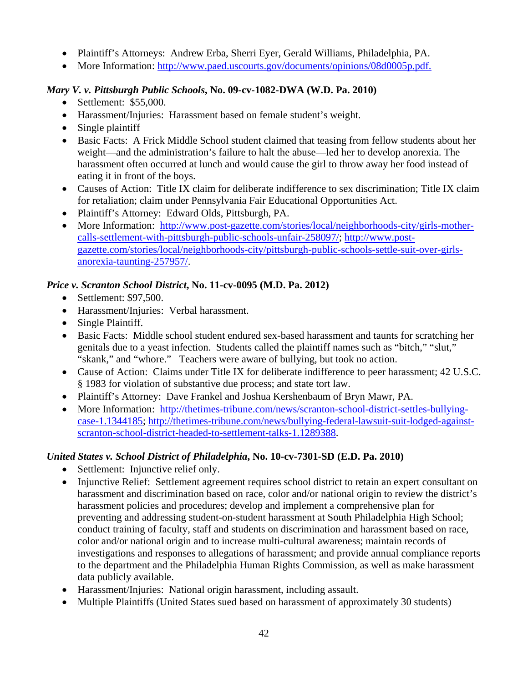- Plaintiff's Attorneys: Andrew Erba, Sherri Eyer, Gerald Williams, Philadelphia, PA.
- More Information: http://www.paed.uscourts.gov/documents/opinions/08d0005p.pdf.

#### *Mary V. v. Pittsburgh Public Schools***, No. 09-cv-1082-DWA (W.D. Pa. 2010)**

- Settlement: \$55,000.
- Harassment/Injuries: Harassment based on female student's weight.
- Single plaintiff
- Basic Facts: A Frick Middle School student claimed that teasing from fellow students about her weight—and the administration's failure to halt the abuse—led her to develop anorexia. The harassment often occurred at lunch and would cause the girl to throw away her food instead of eating it in front of the boys.
- Causes of Action: Title IX claim for deliberate indifference to sex discrimination; Title IX claim for retaliation; claim under Pennsylvania Fair Educational Opportunities Act.
- Plaintiff's Attorney: Edward Olds, Pittsburgh, PA.
- More Information: http://www.post-gazette.com/stories/local/neighborhoods-city/girls-mothercalls-settlement-with-pittsburgh-public-schools-unfair-258097/; http://www.postgazette.com/stories/local/neighborhoods-city/pittsburgh-public-schools-settle-suit-over-girlsanorexia-taunting-257957/.

#### *Price v. Scranton School District***, No. 11-cv-0095 (M.D. Pa. 2012)**

- Settlement: \$97,500.
- Harassment/Injuries: Verbal harassment.
- Single Plaintiff.
- Basic Facts: Middle school student endured sex-based harassment and taunts for scratching her genitals due to a yeast infection. Students called the plaintiff names such as "bitch," "slut," "skank," and "whore." Teachers were aware of bullying, but took no action.
- Cause of Action: Claims under Title IX for deliberate indifference to peer harassment; 42 U.S.C. § 1983 for violation of substantive due process; and state tort law.
- Plaintiff's Attorney: Dave Frankel and Joshua Kershenbaum of Bryn Mawr, PA.
- More Information: http://thetimes-tribune.com/news/scranton-school-district-settles-bullyingcase-1.1344185; http://thetimes-tribune.com/news/bullying-federal-lawsuit-suit-lodged-againstscranton-school-district-headed-to-settlement-talks-1.1289388.

#### *United States v. School District of Philadelphia***, No. 10-cv-7301-SD (E.D. Pa. 2010)**

- Settlement: Injunctive relief only.
- Injunctive Relief: Settlement agreement requires school district to retain an expert consultant on harassment and discrimination based on race, color and/or national origin to review the district's harassment policies and procedures; develop and implement a comprehensive plan for preventing and addressing student-on-student harassment at South Philadelphia High School; conduct training of faculty, staff and students on discrimination and harassment based on race, color and/or national origin and to increase multi-cultural awareness; maintain records of investigations and responses to allegations of harassment; and provide annual compliance reports to the department and the Philadelphia Human Rights Commission, as well as make harassment data publicly available.
- Harassment/Injuries: National origin harassment, including assault.
- Multiple Plaintiffs (United States sued based on harassment of approximately 30 students)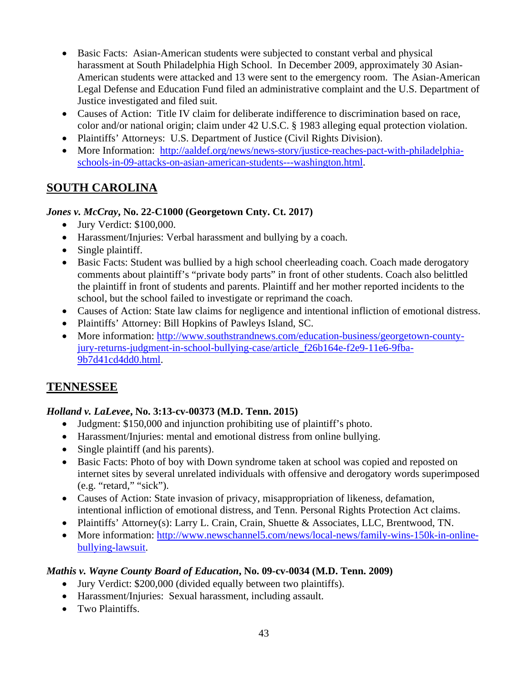- Basic Facts: Asian-American students were subjected to constant verbal and physical harassment at South Philadelphia High School. In December 2009, approximately 30 Asian-American students were attacked and 13 were sent to the emergency room. The Asian-American Legal Defense and Education Fund filed an administrative complaint and the U.S. Department of Justice investigated and filed suit.
- Causes of Action: Title IV claim for deliberate indifference to discrimination based on race, color and/or national origin; claim under 42 U.S.C. § 1983 alleging equal protection violation.
- Plaintiffs' Attorneys: U.S. Department of Justice (Civil Rights Division).
- More Information: http://aaldef.org/news/news-story/justice-reaches-pact-with-philadelphiaschools-in-09-attacks-on-asian-american-students---washington.html.

## **SOUTH CAROLINA**

## *Jones v. McCray***, No. 22-C1000 (Georgetown Cnty. Ct. 2017)**

- Jury Verdict: \$100,000.
- Harassment/Injuries: Verbal harassment and bullying by a coach.
- Single plaintiff.
- Basic Facts: Student was bullied by a high school cheerleading coach. Coach made derogatory comments about plaintiff's "private body parts" in front of other students. Coach also belittled the plaintiff in front of students and parents. Plaintiff and her mother reported incidents to the school, but the school failed to investigate or reprimand the coach.
- Causes of Action: State law claims for negligence and intentional infliction of emotional distress.
- Plaintiffs' Attorney: Bill Hopkins of Pawleys Island, SC.
- More information: http://www.southstrandnews.com/education-business/georgetown-countyjury-returns-judgment-in-school-bullying-case/article\_f26b164e-f2e9-11e6-9fba-9b7d41cd4dd0.html.

## **TENNESSEE**

## *Holland v. LaLevee***, No. 3:13-cv-00373 (M.D. Tenn. 2015)**

- Judgment: \$150,000 and injunction prohibiting use of plaintiff's photo.
- Harassment/Injuries: mental and emotional distress from online bullying.
- Single plaintiff (and his parents).
- Basic Facts: Photo of boy with Down syndrome taken at school was copied and reposted on internet sites by several unrelated individuals with offensive and derogatory words superimposed (e.g. "retard," "sick").
- Causes of Action: State invasion of privacy, misappropriation of likeness, defamation, intentional infliction of emotional distress, and Tenn. Personal Rights Protection Act claims.
- Plaintiffs' Attorney(s): Larry L. Crain, Crain, Shuette & Associates, LLC, Brentwood, TN.
- More information: http://www.newschannel5.com/news/local-news/family-wins-150k-in-onlinebullying-lawsuit.

#### *Mathis v. Wayne County Board of Education***, No. 09-cv-0034 (M.D. Tenn. 2009)**

- Jury Verdict: \$200,000 (divided equally between two plaintiffs).
- Harassment/Injuries: Sexual harassment, including assault.
- Two Plaintiffs.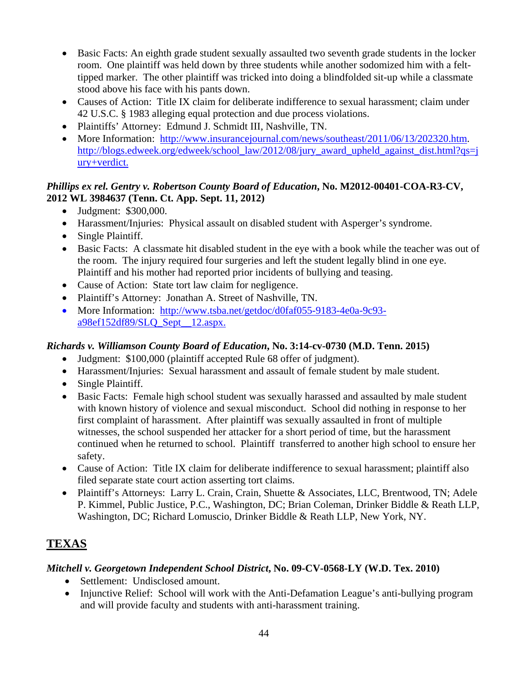- Basic Facts: An eighth grade student sexually assaulted two seventh grade students in the locker room. One plaintiff was held down by three students while another sodomized him with a felttipped marker. The other plaintiff was tricked into doing a blindfolded sit-up while a classmate stood above his face with his pants down.
- Causes of Action: Title IX claim for deliberate indifference to sexual harassment; claim under 42 U.S.C. § 1983 alleging equal protection and due process violations.
- Plaintiffs' Attorney: Edmund J. Schmidt III, Nashville, TN.
- More Information: http://www.insurancejournal.com/news/southeast/2011/06/13/202320.htm. http://blogs.edweek.org/edweek/school\_law/2012/08/jury\_award\_upheld\_against\_dist.html?qs=j ury+verdict.

### *Phillips ex rel. Gentry v. Robertson County Board of Education***, No. M2012-00401-COA-R3-CV, 2012 WL 3984637 (Tenn. Ct. App. Sept. 11, 2012)**

- Judgment: \$300,000.
- Harassment/Injuries: Physical assault on disabled student with Asperger's syndrome.
- Single Plaintiff.
- Basic Facts: A classmate hit disabled student in the eye with a book while the teacher was out of the room. The injury required four surgeries and left the student legally blind in one eye. Plaintiff and his mother had reported prior incidents of bullying and teasing.
- Cause of Action: State tort law claim for negligence.
- Plaintiff's Attorney: Jonathan A. Street of Nashville, TN.
- More Information: http://www.tsba.net/getdoc/d0faf055-9183-4e0a-9c93 a98ef152df89/SLQ\_Sept\_\_12.aspx.

## *Richards v. Williamson County Board of Education***, No. 3:14-cv-0730 (M.D. Tenn. 2015)**

- Judgment: \$100,000 (plaintiff accepted Rule 68 offer of judgment).
- Harassment/Injuries: Sexual harassment and assault of female student by male student.
- Single Plaintiff.
- Basic Facts: Female high school student was sexually harassed and assaulted by male student with known history of violence and sexual misconduct. School did nothing in response to her first complaint of harassment. After plaintiff was sexually assaulted in front of multiple witnesses, the school suspended her attacker for a short period of time, but the harassment continued when he returned to school. Plaintiff transferred to another high school to ensure her safety.
- Cause of Action: Title IX claim for deliberate indifference to sexual harassment; plaintiff also filed separate state court action asserting tort claims.
- Plaintiff's Attorneys: Larry L. Crain, Crain, Shuette & Associates, LLC, Brentwood, TN; Adele P. Kimmel, Public Justice, P.C., Washington, DC; Brian Coleman, Drinker Biddle & Reath LLP, Washington, DC; Richard Lomuscio, Drinker Biddle & Reath LLP, New York, NY.

# **TEXAS**

## *Mitchell v. Georgetown Independent School District***, No. 09-CV-0568-LY (W.D. Tex. 2010)**

- Settlement: Undisclosed amount.
- Injunctive Relief: School will work with the Anti-Defamation League's anti-bullying program and will provide faculty and students with anti-harassment training.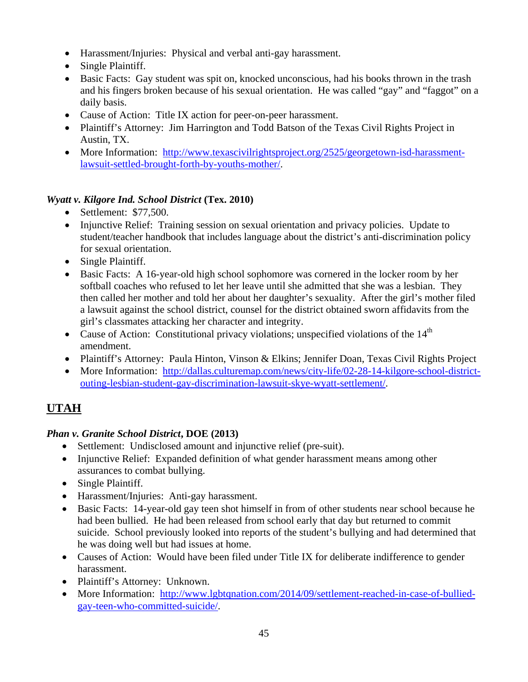- Harassment/Injuries: Physical and verbal anti-gay harassment.
- Single Plaintiff.
- Basic Facts: Gay student was spit on, knocked unconscious, had his books thrown in the trash and his fingers broken because of his sexual orientation. He was called "gay" and "faggot" on a daily basis.
- Cause of Action: Title IX action for peer-on-peer harassment.
- Plaintiff's Attorney: Jim Harrington and Todd Batson of the Texas Civil Rights Project in Austin, TX.
- More Information: http://www.texascivilrightsproject.org/2525/georgetown-isd-harassmentlawsuit-settled-brought-forth-by-youths-mother/.

## *Wyatt v. Kilgore Ind. School District* **(Tex. 2010)**

- Settlement: \$77,500.
- Injunctive Relief: Training session on sexual orientation and privacy policies. Update to student/teacher handbook that includes language about the district's anti-discrimination policy for sexual orientation.
- Single Plaintiff.
- Basic Facts: A 16-year-old high school sophomore was cornered in the locker room by her softball coaches who refused to let her leave until she admitted that she was a lesbian. They then called her mother and told her about her daughter's sexuality. After the girl's mother filed a lawsuit against the school district, counsel for the district obtained sworn affidavits from the girl's classmates attacking her character and integrity.
- Cause of Action: Constitutional privacy violations; unspecified violations of the  $14<sup>th</sup>$ amendment.
- Plaintiff's Attorney: Paula Hinton, Vinson & Elkins; Jennifer Doan, Texas Civil Rights Project
- More Information: http://dallas.culturemap.com/news/city-life/02-28-14-kilgore-school-districtouting-lesbian-student-gay-discrimination-lawsuit-skye-wyatt-settlement/.

## **UTAH**

## *Phan v. Granite School District***, DOE (2013)**

- Settlement: Undisclosed amount and injunctive relief (pre-suit).
- Injunctive Relief: Expanded definition of what gender harassment means among other assurances to combat bullying.
- Single Plaintiff.
- Harassment/Injuries: Anti-gay harassment.
- Basic Facts: 14-year-old gay teen shot himself in from of other students near school because he had been bullied. He had been released from school early that day but returned to commit suicide. School previously looked into reports of the student's bullying and had determined that he was doing well but had issues at home.
- Causes of Action: Would have been filed under Title IX for deliberate indifference to gender harassment.
- Plaintiff's Attorney: Unknown.
- More Information: http://www.lgbtqnation.com/2014/09/settlement-reached-in-case-of-bulliedgay-teen-who-committed-suicide/.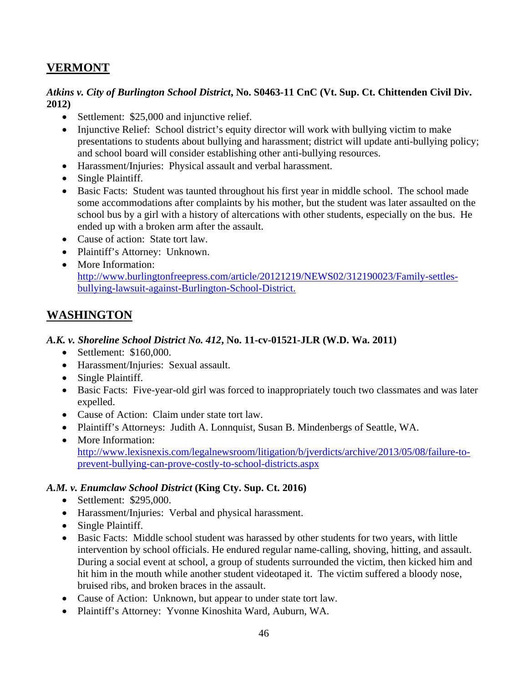## **VERMONT**

#### *Atkins v. City of Burlington School District***, No. S0463-11 CnC (Vt. Sup. Ct. Chittenden Civil Div. 2012)**

- Settlement: \$25,000 and injunctive relief.
- Injunctive Relief: School district's equity director will work with bullying victim to make presentations to students about bullying and harassment; district will update anti-bullying policy; and school board will consider establishing other anti-bullying resources.
- Harassment/Injuries: Physical assault and verbal harassment.
- Single Plaintiff.
- Basic Facts: Student was taunted throughout his first year in middle school. The school made some accommodations after complaints by his mother, but the student was later assaulted on the school bus by a girl with a history of altercations with other students, especially on the bus. He ended up with a broken arm after the assault.
- Cause of action: State tort law.
- Plaintiff's Attorney: Unknown.
- More Information: http://www.burlingtonfreepress.com/article/20121219/NEWS02/312190023/Family-settlesbullying-lawsuit-against-Burlington-School-District.

## **WASHINGTON**

#### *A.K. v. Shoreline School District No. 412***, No. 11-cv-01521-JLR (W.D. Wa. 2011)**

- Settlement: \$160,000.
- Harassment/Injuries: Sexual assault.
- Single Plaintiff.
- Basic Facts: Five-year-old girl was forced to inappropriately touch two classmates and was later expelled.
- Cause of Action: Claim under state tort law.
- Plaintiff's Attorneys: Judith A. Lonnquist, Susan B. Mindenbergs of Seattle, WA.
- More Information: http://www.lexisnexis.com/legalnewsroom/litigation/b/jverdicts/archive/2013/05/08/failure-toprevent-bullying-can-prove-costly-to-school-districts.aspx

#### *A.M. v. Enumclaw School District* **(King Cty. Sup. Ct. 2016)**

- Settlement: \$295,000.
- Harassment/Injuries: Verbal and physical harassment.
- Single Plaintiff.
- Basic Facts: Middle school student was harassed by other students for two years, with little intervention by school officials. He endured regular name-calling, shoving, hitting, and assault. During a social event at school, a group of students surrounded the victim, then kicked him and hit him in the mouth while another student videotaped it. The victim suffered a bloody nose, bruised ribs, and broken braces in the assault.
- Cause of Action: Unknown, but appear to under state tort law.
- Plaintiff's Attorney: Yvonne Kinoshita Ward, Auburn, WA.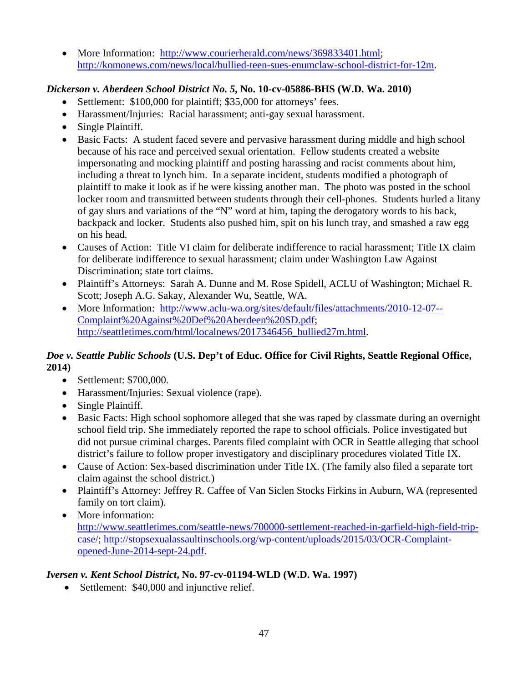• More Information: http://www.courierherald.com/news/369833401.html; http://komonews.com/news/local/bullied-teen-sues-enumclaw-school-district-for-12m.

## *Dickerson v. Aberdeen School District No. 5***, No. 10-cv-05886-BHS (W.D. Wa. 2010)**

- Settlement: \$100,000 for plaintiff; \$35,000 for attorneys' fees.
- Harassment/Injuries: Racial harassment; anti-gay sexual harassment.
- Single Plaintiff.
- Basic Facts: A student faced severe and pervasive harassment during middle and high school because of his race and perceived sexual orientation. Fellow students created a website impersonating and mocking plaintiff and posting harassing and racist comments about him, including a threat to lynch him. In a separate incident, students modified a photograph of plaintiff to make it look as if he were kissing another man. The photo was posted in the school locker room and transmitted between students through their cell-phones. Students hurled a litany of gay slurs and variations of the "N" word at him, taping the derogatory words to his back, backpack and locker. Students also pushed him, spit on his lunch tray, and smashed a raw egg on his head.
- Causes of Action: Title VI claim for deliberate indifference to racial harassment; Title IX claim for deliberate indifference to sexual harassment; claim under Washington Law Against Discrimination; state tort claims.
- Plaintiff's Attorneys: Sarah A. Dunne and M. Rose Spidell, ACLU of Washington; Michael R. Scott; Joseph A.G. Sakay, Alexander Wu, Seattle, WA.
- More Information: http://www.aclu-wa.org/sites/default/files/attachments/2010-12-07--Complaint%20Against%20Def%20Aberdeen%20SD.pdf; http://seattletimes.com/html/localnews/2017346456\_bullied27m.html.

## *Doe v. Seattle Public Schools* **(U.S. Dep't of Educ. Office for Civil Rights, Seattle Regional Office, 2014)**

- Settlement: \$700,000.
- Harassment/Injuries: Sexual violence (rape).
- Single Plaintiff.
- Basic Facts: High school sophomore alleged that she was raped by classmate during an overnight school field trip. She immediately reported the rape to school officials. Police investigated but did not pursue criminal charges. Parents filed complaint with OCR in Seattle alleging that school district's failure to follow proper investigatory and disciplinary procedures violated Title IX.
- Cause of Action: Sex-based discrimination under Title IX. (The family also filed a separate tort claim against the school district.)
- Plaintiff's Attorney: Jeffrey R. Caffee of Van Siclen Stocks Firkins in Auburn, WA (represented family on tort claim).
- More information: http://www.seattletimes.com/seattle-news/700000-settlement-reached-in-garfield-high-field-tripcase/; http://stopsexualassaultinschools.org/wp-content/uploads/2015/03/OCR-Complaintopened-June-2014-sept-24.pdf.

## *Iversen v. Kent School District***, No. 97-cv-01194-WLD (W.D. Wa. 1997)**

• Settlement: \$40,000 and injunctive relief.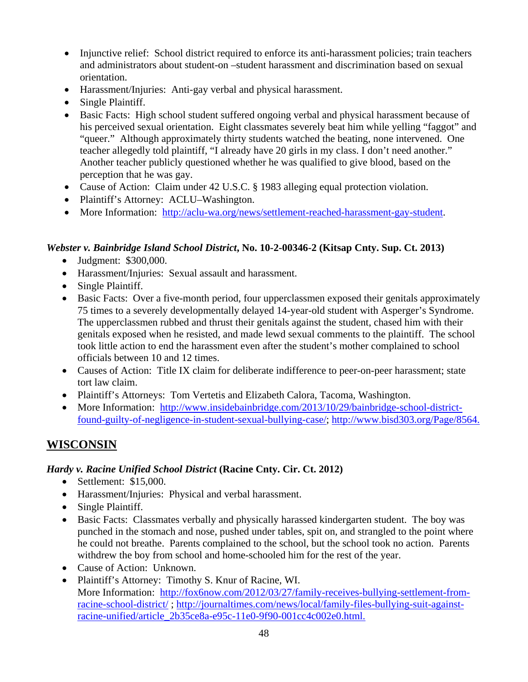- Injunctive relief: School district required to enforce its anti-harassment policies; train teachers and administrators about student-on –student harassment and discrimination based on sexual orientation.
- Harassment/Injuries: Anti-gay verbal and physical harassment.
- Single Plaintiff.
- Basic Facts: High school student suffered ongoing verbal and physical harassment because of his perceived sexual orientation. Eight classmates severely beat him while yelling "faggot" and "queer." Although approximately thirty students watched the beating, none intervened. One teacher allegedly told plaintiff, "I already have 20 girls in my class. I don't need another." Another teacher publicly questioned whether he was qualified to give blood, based on the perception that he was gay.
- Cause of Action: Claim under 42 U.S.C. § 1983 alleging equal protection violation.
- Plaintiff's Attorney: ACLU–Washington.
- More Information: http://aclu-wa.org/news/settlement-reached-harassment-gay-student.

#### *Webster v. Bainbridge Island School District***, No. 10-2-00346-2 (Kitsap Cnty. Sup. Ct. 2013)**

- Judgment: \$300,000.
- Harassment/Injuries: Sexual assault and harassment.
- Single Plaintiff.
- Basic Facts: Over a five-month period, four upperclassmen exposed their genitals approximately 75 times to a severely developmentally delayed 14-year-old student with Asperger's Syndrome. The upperclassmen rubbed and thrust their genitals against the student, chased him with their genitals exposed when he resisted, and made lewd sexual comments to the plaintiff. The school took little action to end the harassment even after the student's mother complained to school officials between 10 and 12 times.
- Causes of Action: Title IX claim for deliberate indifference to peer-on-peer harassment; state tort law claim.
- Plaintiff's Attorneys: Tom Vertetis and Elizabeth Calora, Tacoma, Washington.
- More Information: http://www.insidebainbridge.com/2013/10/29/bainbridge-school-districtfound-guilty-of-negligence-in-student-sexual-bullying-case/; http://www.bisd303.org/Page/8564.

## **WISCONSIN**

#### *Hardy v. Racine Unified School District* **(Racine Cnty. Cir. Ct. 2012)**

- Settlement: \$15,000.
- Harassment/Injuries: Physical and verbal harassment.
- Single Plaintiff.
- Basic Facts: Classmates verbally and physically harassed kindergarten student. The boy was punched in the stomach and nose, pushed under tables, spit on, and strangled to the point where he could not breathe. Parents complained to the school, but the school took no action. Parents withdrew the boy from school and home-schooled him for the rest of the year.
- Cause of Action: Unknown.
- Plaintiff's Attorney: Timothy S. Knur of Racine, WI. More Information: http://fox6now.com/2012/03/27/family-receives-bullying-settlement-fromracine-school-district/ ; http://journaltimes.com/news/local/family-files-bullying-suit-againstracine-unified/article\_2b35ce8a-e95c-11e0-9f90-001cc4c002e0.html.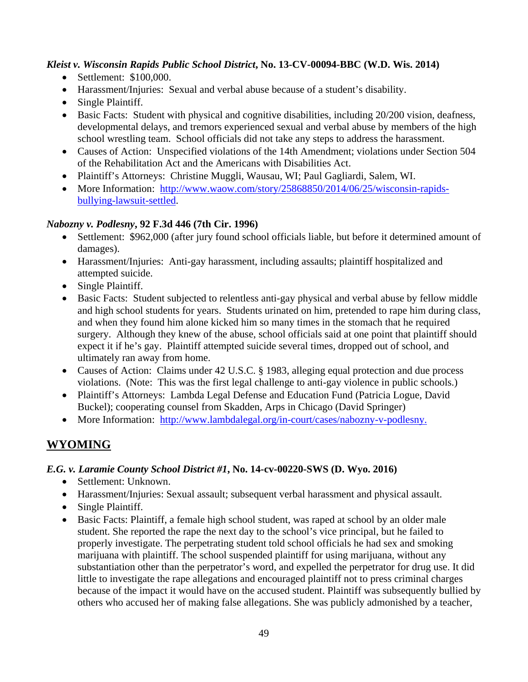#### *Kleist v. Wisconsin Rapids Public School District***, No. 13-CV-00094-BBC (W.D. Wis. 2014)**

- Settlement: \$100,000.
- Harassment/Injuries: Sexual and verbal abuse because of a student's disability.
- Single Plaintiff.
- Basic Facts: Student with physical and cognitive disabilities, including 20/200 vision, deafness, developmental delays, and tremors experienced sexual and verbal abuse by members of the high school wrestling team. School officials did not take any steps to address the harassment.
- Causes of Action: Unspecified violations of the 14th Amendment; violations under Section 504 of the Rehabilitation Act and the Americans with Disabilities Act.
- Plaintiff's Attorneys: Christine Muggli, Wausau, WI; Paul Gagliardi, Salem, WI.
- More Information: http://www.waow.com/story/25868850/2014/06/25/wisconsin-rapidsbullying-lawsuit-settled.

#### *Nabozny v. Podlesny***, 92 F.3d 446 (7th Cir. 1996)**

- Settlement: \$962,000 (after jury found school officials liable, but before it determined amount of damages).
- Harassment/Injuries: Anti-gay harassment, including assaults; plaintiff hospitalized and attempted suicide.
- Single Plaintiff.
- Basic Facts: Student subjected to relentless anti-gay physical and verbal abuse by fellow middle and high school students for years. Students urinated on him, pretended to rape him during class, and when they found him alone kicked him so many times in the stomach that he required surgery. Although they knew of the abuse, school officials said at one point that plaintiff should expect it if he's gay. Plaintiff attempted suicide several times, dropped out of school, and ultimately ran away from home.
- Causes of Action: Claims under 42 U.S.C. § 1983, alleging equal protection and due process violations. (Note: This was the first legal challenge to anti-gay violence in public schools.)
- Plaintiff's Attorneys: Lambda Legal Defense and Education Fund (Patricia Logue, David Buckel); cooperating counsel from Skadden, Arps in Chicago (David Springer)
- More Information: http://www.lambdalegal.org/in-court/cases/nabozny-v-podlesny.

## **WYOMING**

## *E.G. v. Laramie County School District #1***, No. 14-cv-00220-SWS (D. Wyo. 2016)**

- Settlement: Unknown.
- Harassment/Injuries: Sexual assault; subsequent verbal harassment and physical assault.
- Single Plaintiff.
- Basic Facts: Plaintiff, a female high school student, was raped at school by an older male student. She reported the rape the next day to the school's vice principal, but he failed to properly investigate. The perpetrating student told school officials he had sex and smoking marijuana with plaintiff. The school suspended plaintiff for using marijuana, without any substantiation other than the perpetrator's word, and expelled the perpetrator for drug use. It did little to investigate the rape allegations and encouraged plaintiff not to press criminal charges because of the impact it would have on the accused student. Plaintiff was subsequently bullied by others who accused her of making false allegations. She was publicly admonished by a teacher,